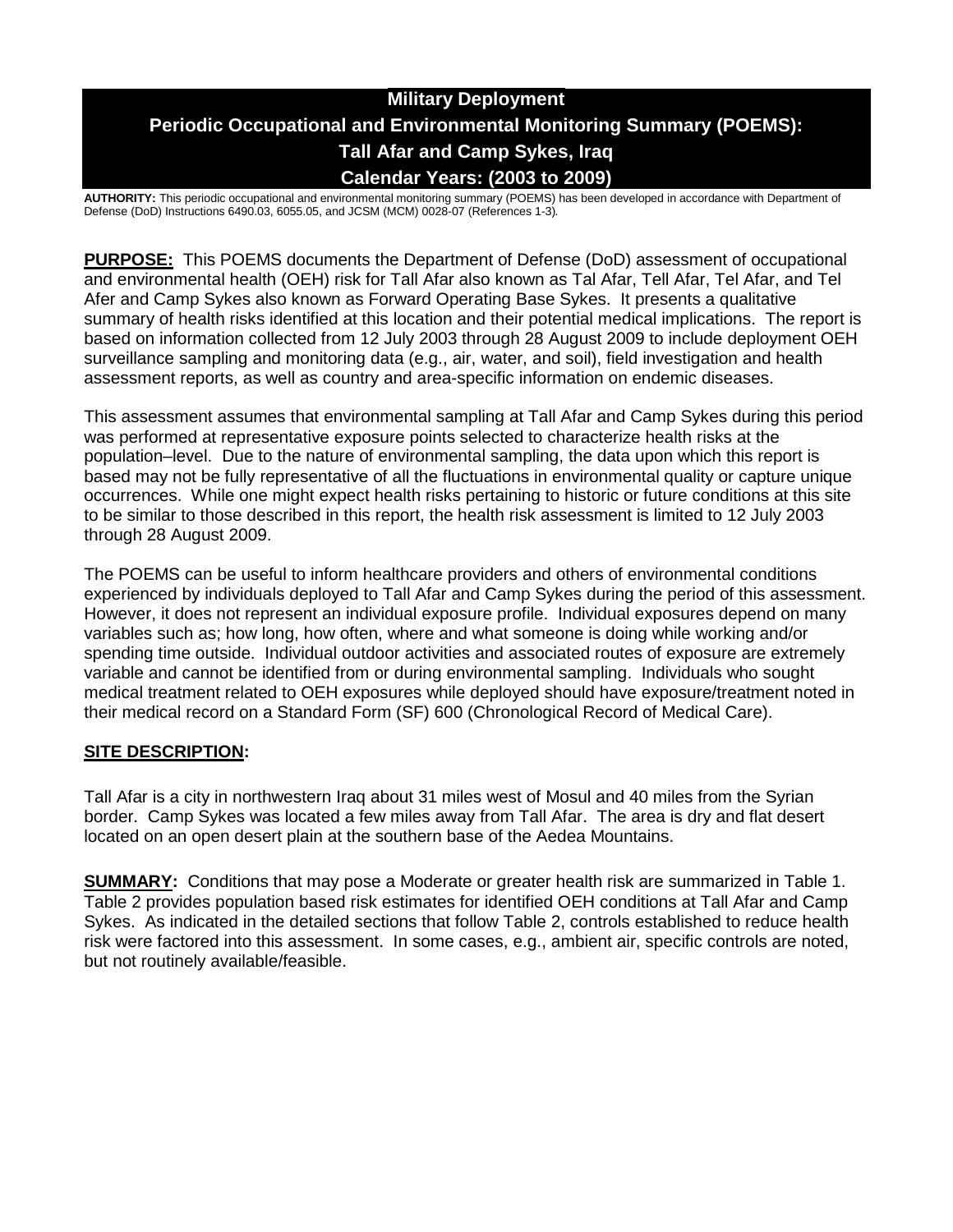# **Military Deployment Periodic Occupational and Environmental Monitoring Summary (POEMS): Tall Afar and Camp Sykes, Iraq Calendar Years: (2003 to 2009)**

**AUTHORITY:** This periodic occupational and environmental monitoring summary (POEMS) has been developed in accordance with Department of Defense (DoD) Instructions 6490.03, 6055.05, and JCSM (MCM) 0028-07 (References 1-3)*.*

**PURPOSE:** This POEMS documents the Department of Defense (DoD) assessment of occupational and environmental health (OEH) risk for Tall Afar also known as Tal Afar, Tell Afar, Tel Afar, and Tel Afer and Camp Sykes also known as Forward Operating Base Sykes. It presents a qualitative summary of health risks identified at this location and their potential medical implications. The report is based on information collected from 12 July 2003 through 28 August 2009 to include deployment OEH surveillance sampling and monitoring data (e.g., air, water, and soil), field investigation and health assessment reports, as well as country and area-specific information on endemic diseases.

This assessment assumes that environmental sampling at Tall Afar and Camp Sykes during this period was performed at representative exposure points selected to characterize health risks at the population–level. Due to the nature of environmental sampling, the data upon which this report is based may not be fully representative of all the fluctuations in environmental quality or capture unique occurrences. While one might expect health risks pertaining to historic or future conditions at this site to be similar to those described in this report, the health risk assessment is limited to 12 July 2003 through 28 August 2009.

The POEMS can be useful to inform healthcare providers and others of environmental conditions experienced by individuals deployed to Tall Afar and Camp Sykes during the period of this assessment. However, it does not represent an individual exposure profile. Individual exposures depend on many variables such as; how long, how often, where and what someone is doing while working and/or spending time outside. Individual outdoor activities and associated routes of exposure are extremely variable and cannot be identified from or during environmental sampling. Individuals who sought medical treatment related to OEH exposures while deployed should have exposure/treatment noted in their medical record on a Standard Form (SF) 600 (Chronological Record of Medical Care).

## **SITE DESCRIPTION:**

Tall Afar is a city in northwestern Iraq about 31 miles west of Mosul and 40 miles from the Syrian border. Camp Sykes was located a few miles away from Tall Afar. The area is dry and flat desert located on an open desert plain at the southern base of the Aedea Mountains.

**SUMMARY:** Conditions that may pose a Moderate or greater health risk are summarized in Table 1. Table 2 provides population based risk estimates for identified OEH conditions at Tall Afar and Camp Sykes. As indicated in the detailed sections that follow Table 2, controls established to reduce health risk were factored into this assessment. In some cases, e.g., ambient air, specific controls are noted, but not routinely available/feasible.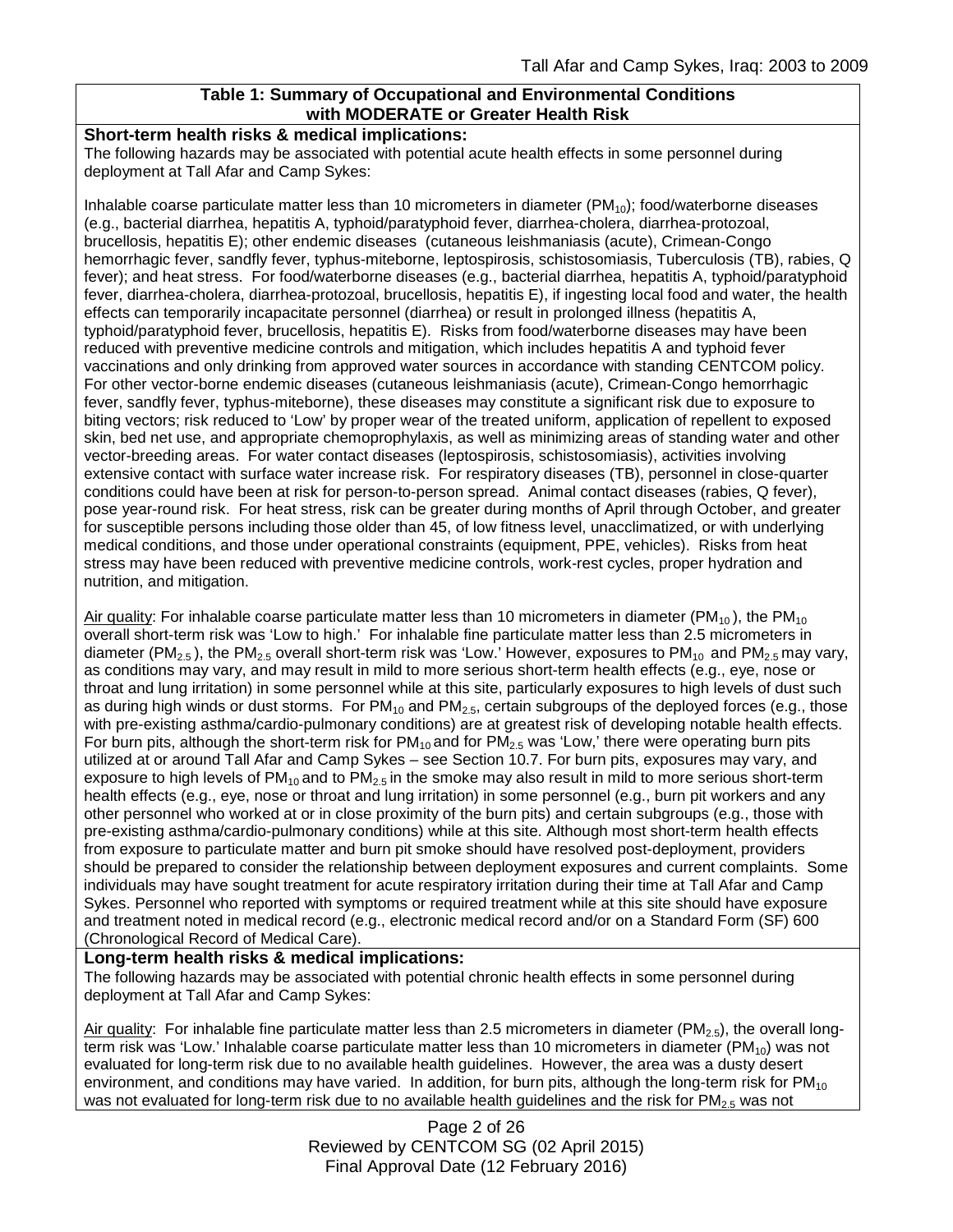## **Table 1: Summary of Occupational and Environmental Conditions with MODERATE or Greater Health Risk**

#### **Short-term health risks & medical implications:**

The following hazards may be associated with potential acute health effects in some personnel during deployment at Tall Afar and Camp Sykes:

Inhalable coarse particulate matter less than 10 micrometers in diameter  $(PM_{10})$ ; food/waterborne diseases (e.g., bacterial diarrhea, hepatitis A, typhoid/paratyphoid fever, diarrhea-cholera, diarrhea-protozoal, brucellosis, hepatitis E); other endemic diseases (cutaneous leishmaniasis (acute), Crimean-Congo hemorrhagic fever, sandfly fever, typhus-miteborne, leptospirosis, schistosomiasis, Tuberculosis (TB), rabies, Q fever); and heat stress. For food/waterborne diseases (e.g., bacterial diarrhea, hepatitis A, typhoid/paratyphoid fever, diarrhea-cholera, diarrhea-protozoal, brucellosis, hepatitis E), if ingesting local food and water, the health effects can temporarily incapacitate personnel (diarrhea) or result in prolonged illness (hepatitis A, typhoid/paratyphoid fever, brucellosis, hepatitis E). Risks from food/waterborne diseases may have been reduced with preventive medicine controls and mitigation, which includes hepatitis A and typhoid fever vaccinations and only drinking from approved water sources in accordance with standing CENTCOM policy. For other vector-borne endemic diseases (cutaneous leishmaniasis (acute), Crimean-Congo hemorrhagic fever, sandfly fever, typhus-miteborne), these diseases may constitute a significant risk due to exposure to biting vectors; risk reduced to 'Low' by proper wear of the treated uniform, application of repellent to exposed skin, bed net use, and appropriate chemoprophylaxis, as well as minimizing areas of standing water and other vector-breeding areas. For water contact diseases (leptospirosis, schistosomiasis), activities involving extensive contact with surface water increase risk. For respiratory diseases (TB), personnel in close-quarter conditions could have been at risk for person-to-person spread. Animal contact diseases (rabies, Q fever), pose year-round risk. For heat stress, risk can be greater during months of April through October, and greater for susceptible persons including those older than 45, of low fitness level, unacclimatized, or with underlying medical conditions, and those under operational constraints (equipment, PPE, vehicles). Risks from heat stress may have been reduced with preventive medicine controls, work-rest cycles, proper hydration and nutrition, and mitigation.

Air quality: For inhalable coarse particulate matter less than 10 micrometers in diameter ( $PM_{10}$ ), the PM<sub>10</sub> overall short-term risk was 'Low to high.' For inhalable fine particulate matter less than 2.5 micrometers in diameter (PM<sub>2.5</sub>), the PM<sub>2.5</sub> overall short-term risk was 'Low.' However, exposures to PM<sub>10</sub> and PM<sub>2.5</sub> may vary, as conditions may vary, and may result in mild to more serious short-term health effects (e.g., eye, nose or throat and lung irritation) in some personnel while at this site, particularly exposures to high levels of dust such as during high winds or dust storms. For  $PM_{10}$  and  $PM_{2.5}$ , certain subgroups of the deployed forces (e.g., those with pre-existing asthma/cardio-pulmonary conditions) are at greatest risk of developing notable health effects. For burn pits, although the short-term risk for  $PM_{10}$  and for  $PM_{2.5}$  was 'Low,' there were operating burn pits utilized at or around Tall Afar and Camp Sykes – see Section 10.7. For burn pits, exposures may vary, and exposure to high levels of  $PM_{10}$  and to  $PM_{2.5}$  in the smoke may also result in mild to more serious short-term health effects (e.g., eye, nose or throat and lung irritation) in some personnel (e.g., burn pit workers and any other personnel who worked at or in close proximity of the burn pits) and certain subgroups (e.g., those with pre-existing asthma/cardio-pulmonary conditions) while at this site. Although most short-term health effects from exposure to particulate matter and burn pit smoke should have resolved post-deployment, providers should be prepared to consider the relationship between deployment exposures and current complaints. Some individuals may have sought treatment for acute respiratory irritation during their time at Tall Afar and Camp Sykes. Personnel who reported with symptoms or required treatment while at this site should have exposure and treatment noted in medical record (e.g., electronic medical record and/or on a Standard Form (SF) 600 (Chronological Record of Medical Care).

## **Long-term health risks & medical implications:**

The following hazards may be associated with potential chronic health effects in some personnel during deployment at Tall Afar and Camp Sykes:

Air quality: For inhalable fine particulate matter less than 2.5 micrometers in diameter (PM<sub>2.5</sub>), the overall longterm risk was 'Low.' Inhalable coarse particulate matter less than 10 micrometers in diameter (PM $_{10}$ ) was not evaluated for long-term risk due to no available health guidelines. However, the area was a dusty desert environment, and conditions may have varied. In addition, for burn pits, although the long-term risk for  $PM_{10}$ was not evaluated for long-term risk due to no available health guidelines and the risk for  $PM_{2.5}$  was not

> Page 2 of 26 Reviewed by CENTCOM SG (02 April 2015) Final Approval Date (12 February 2016)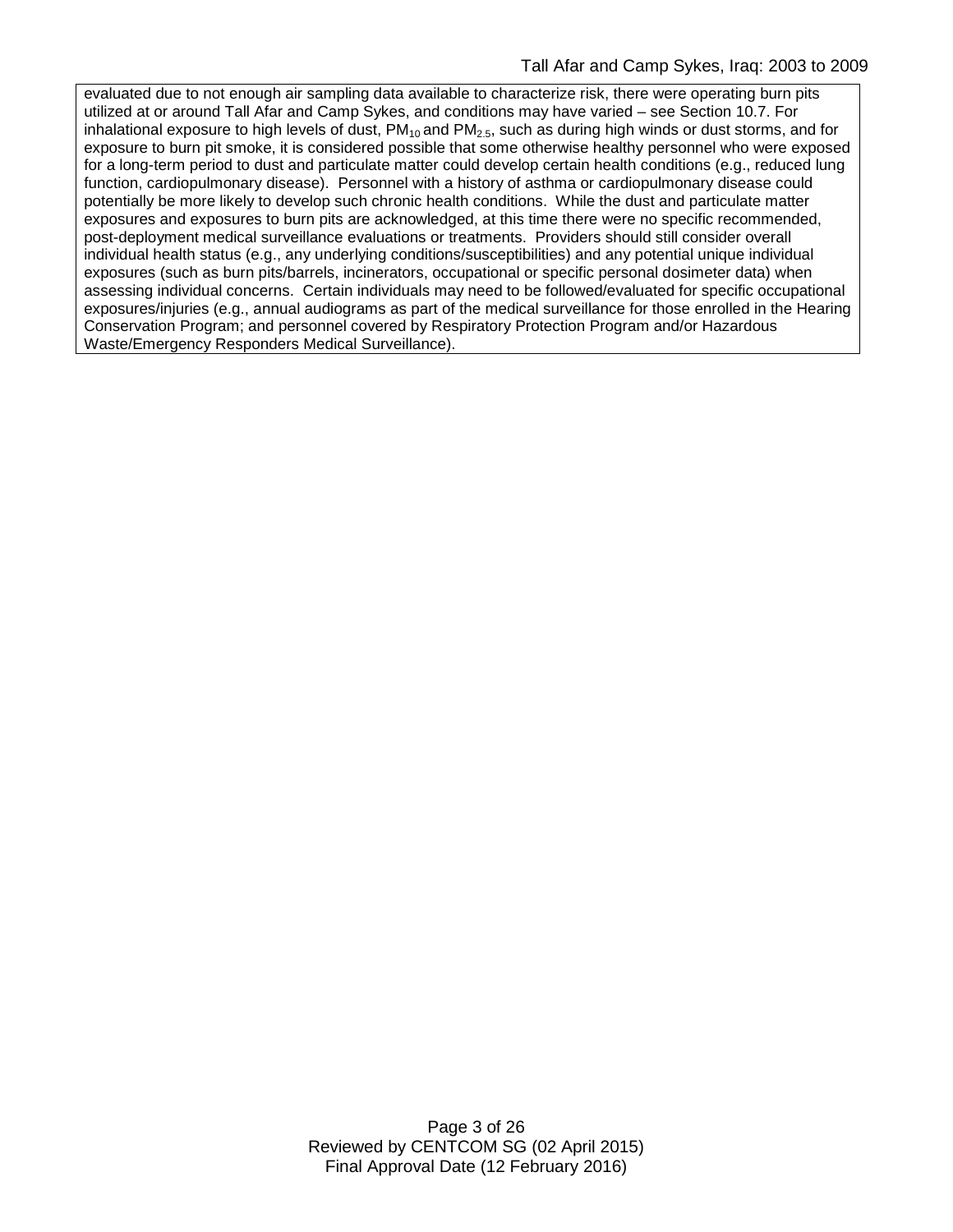evaluated due to not enough air sampling data available to characterize risk, there were operating burn pits utilized at or around Tall Afar and Camp Sykes, and conditions may have varied – see Section 10.7. For inhalational exposure to high levels of dust,  $PM_{10}$  and  $PM_{2.5}$ , such as during high winds or dust storms, and for exposure to burn pit smoke, it is considered possible that some otherwise healthy personnel who were exposed for a long-term period to dust and particulate matter could develop certain health conditions (e.g., reduced lung function, cardiopulmonary disease). Personnel with a history of asthma or cardiopulmonary disease could potentially be more likely to develop such chronic health conditions. While the dust and particulate matter exposures and exposures to burn pits are acknowledged, at this time there were no specific recommended, post-deployment medical surveillance evaluations or treatments. Providers should still consider overall individual health status (e.g., any underlying conditions/susceptibilities) and any potential unique individual exposures (such as burn pits/barrels, incinerators, occupational or specific personal dosimeter data) when assessing individual concerns. Certain individuals may need to be followed/evaluated for specific occupational exposures/injuries (e.g., annual audiograms as part of the medical surveillance for those enrolled in the Hearing Conservation Program; and personnel covered by Respiratory Protection Program and/or Hazardous Waste/Emergency Responders Medical Surveillance).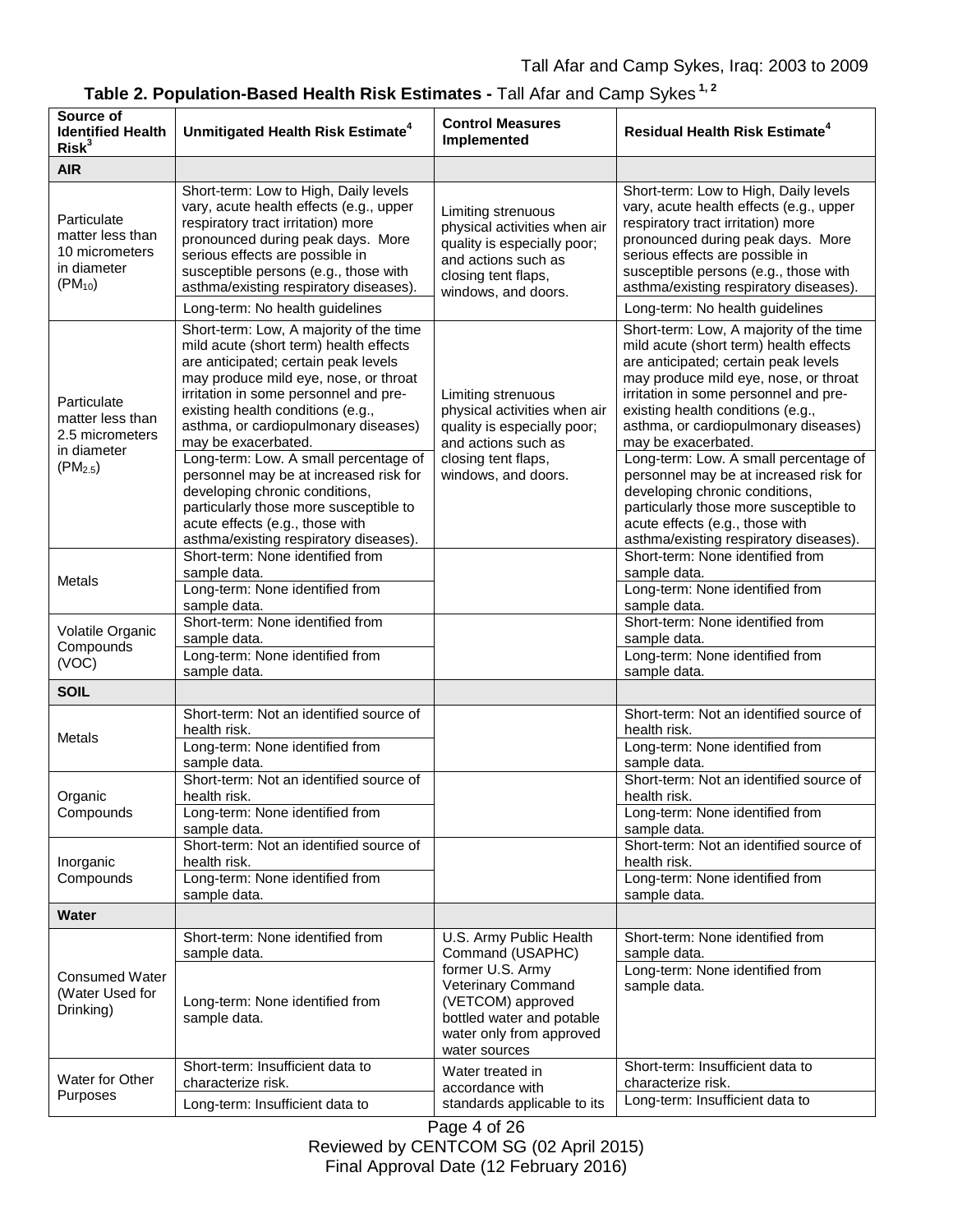| Source of<br><b>Identified Health</b><br>Risk <sup>3</sup>                        | Unmitigated Health Risk Estimate <sup>4</sup>                                                                                                                                                                                                                                                                                                            | <b>Control Measures</b><br>Implemented                                                                                                                              | <b>Residual Health Risk Estimate<sup>4</sup></b>                                                                                                                                                                                                                                                                     |
|-----------------------------------------------------------------------------------|----------------------------------------------------------------------------------------------------------------------------------------------------------------------------------------------------------------------------------------------------------------------------------------------------------------------------------------------------------|---------------------------------------------------------------------------------------------------------------------------------------------------------------------|----------------------------------------------------------------------------------------------------------------------------------------------------------------------------------------------------------------------------------------------------------------------------------------------------------------------|
| <b>AIR</b>                                                                        |                                                                                                                                                                                                                                                                                                                                                          |                                                                                                                                                                     |                                                                                                                                                                                                                                                                                                                      |
| Particulate<br>matter less than<br>10 micrometers<br>in diameter<br>$(PM_{10})$   | Short-term: Low to High, Daily levels<br>vary, acute health effects (e.g., upper<br>respiratory tract irritation) more<br>pronounced during peak days. More<br>serious effects are possible in<br>susceptible persons (e.g., those with<br>asthma/existing respiratory diseases).<br>Long-term: No health guidelines                                     | Limiting strenuous<br>physical activities when air<br>quality is especially poor;<br>and actions such as<br>closing tent flaps,<br>windows, and doors.              | Short-term: Low to High, Daily levels<br>vary, acute health effects (e.g., upper<br>respiratory tract irritation) more<br>pronounced during peak days. More<br>serious effects are possible in<br>susceptible persons (e.g., those with<br>asthma/existing respiratory diseases).<br>Long-term: No health guidelines |
| Particulate<br>matter less than<br>2.5 micrometers<br>in diameter<br>$(PM_{2.5})$ | Short-term: Low, A majority of the time<br>mild acute (short term) health effects<br>are anticipated; certain peak levels<br>may produce mild eye, nose, or throat<br>irritation in some personnel and pre-<br>existing health conditions (e.g.,<br>asthma, or cardiopulmonary diseases)<br>may be exacerbated.<br>Long-term: Low. A small percentage of | Limiting strenuous<br>physical activities when air<br>quality is especially poor;<br>and actions such as<br>closing tent flaps,<br>windows, and doors.              | Short-term: Low, A majority of the time<br>mild acute (short term) health effects<br>are anticipated; certain peak levels<br>may produce mild eye, nose, or throat<br>irritation in some personnel and pre-<br>existing health conditions (e.g.,<br>asthma, or cardiopulmonary diseases)<br>may be exacerbated.      |
|                                                                                   | personnel may be at increased risk for<br>developing chronic conditions,<br>particularly those more susceptible to<br>acute effects (e.g., those with<br>asthma/existing respiratory diseases).                                                                                                                                                          |                                                                                                                                                                     | Long-term: Low. A small percentage of<br>personnel may be at increased risk for<br>developing chronic conditions,<br>particularly those more susceptible to<br>acute effects (e.g., those with<br>asthma/existing respiratory diseases).                                                                             |
| Metals                                                                            | Short-term: None identified from<br>sample data.<br>Long-term: None identified from                                                                                                                                                                                                                                                                      |                                                                                                                                                                     | Short-term: None identified from<br>sample data.<br>Long-term: None identified from                                                                                                                                                                                                                                  |
| Volatile Organic<br>Compounds<br>(VOC)                                            | sample data.<br>Short-term: None identified from<br>sample data.<br>Long-term: None identified from<br>sample data.                                                                                                                                                                                                                                      |                                                                                                                                                                     | sample data.<br>Short-term: None identified from<br>sample data.<br>Long-term: None identified from<br>sample data.                                                                                                                                                                                                  |
| <b>SOIL</b>                                                                       |                                                                                                                                                                                                                                                                                                                                                          |                                                                                                                                                                     |                                                                                                                                                                                                                                                                                                                      |
| Metals                                                                            | Short-term: Not an identified source of<br>health risk.<br>Long-term: None identified from<br>sample data.                                                                                                                                                                                                                                               |                                                                                                                                                                     | Short-term: Not an identified source of<br>health risk.<br>Long-term: None identified from<br>sample data.                                                                                                                                                                                                           |
| Organic<br>Compounds                                                              | Short-term: Not an identified source of<br>health risk.<br>Long-term: None identified from                                                                                                                                                                                                                                                               |                                                                                                                                                                     | Short-term: Not an identified source of<br>health risk.<br>Long-term: None identified from                                                                                                                                                                                                                           |
| Inorganic<br>Compounds                                                            | sample data.<br>Short-term: Not an identified source of<br>health risk.<br>Long-term: None identified from<br>sample data.                                                                                                                                                                                                                               |                                                                                                                                                                     | sample data.<br>Short-term: Not an identified source of<br>health risk.<br>Long-term: None identified from<br>sample data.                                                                                                                                                                                           |
| Water                                                                             |                                                                                                                                                                                                                                                                                                                                                          |                                                                                                                                                                     |                                                                                                                                                                                                                                                                                                                      |
| <b>Consumed Water</b><br>(Water Used for<br>Drinking)                             | Short-term: None identified from<br>sample data.<br>Long-term: None identified from<br>sample data.                                                                                                                                                                                                                                                      | U.S. Army Public Health<br>Command (USAPHC)<br>former U.S. Army<br>Veterinary Command<br>(VETCOM) approved<br>bottled water and potable<br>water only from approved | Short-term: None identified from<br>sample data.<br>Long-term: None identified from<br>sample data.                                                                                                                                                                                                                  |
| Water for Other<br>Purposes                                                       | Short-term: Insufficient data to<br>characterize risk.<br>Long-term: Insufficient data to                                                                                                                                                                                                                                                                | water sources<br>Water treated in<br>accordance with<br>standards applicable to its<br>$D = 4 + 00$                                                                 | Short-term: Insufficient data to<br>characterize risk.<br>Long-term: Insufficient data to                                                                                                                                                                                                                            |

| Table 2. Population-Based Health Risk Estimates - Tall Afar and Camp Sykes <sup>1, 2</sup> |  |  |  |
|--------------------------------------------------------------------------------------------|--|--|--|
|--------------------------------------------------------------------------------------------|--|--|--|

Page 4 of 26 Reviewed by CENTCOM SG (02 April 2015) Final Approval Date (12 February 2016)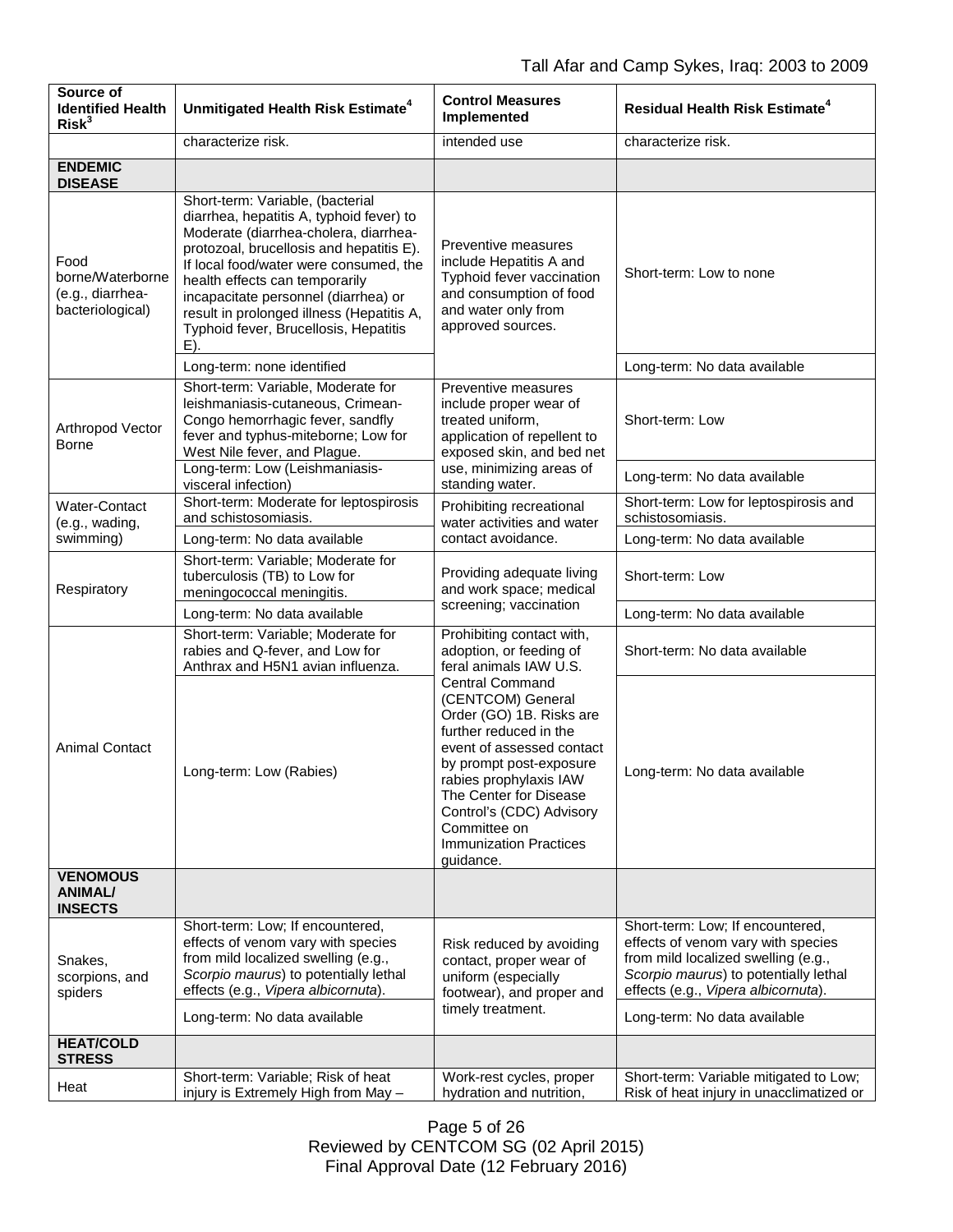| Source of<br><b>Identified Health</b><br>Risk <sup>3</sup>       | Unmitigated Health Risk Estimate <sup>4</sup>                                                                                                                                                                                                                                                                                                                                      | <b>Control Measures</b><br>Implemented                                                                                                                                                                                                                                                                                                                                                    | <b>Residual Health Risk Estimate<sup>4</sup></b>                                                                                                                                              |
|------------------------------------------------------------------|------------------------------------------------------------------------------------------------------------------------------------------------------------------------------------------------------------------------------------------------------------------------------------------------------------------------------------------------------------------------------------|-------------------------------------------------------------------------------------------------------------------------------------------------------------------------------------------------------------------------------------------------------------------------------------------------------------------------------------------------------------------------------------------|-----------------------------------------------------------------------------------------------------------------------------------------------------------------------------------------------|
|                                                                  | characterize risk.                                                                                                                                                                                                                                                                                                                                                                 | intended use                                                                                                                                                                                                                                                                                                                                                                              | characterize risk.                                                                                                                                                                            |
| <b>ENDEMIC</b><br><b>DISEASE</b>                                 |                                                                                                                                                                                                                                                                                                                                                                                    |                                                                                                                                                                                                                                                                                                                                                                                           |                                                                                                                                                                                               |
| Food<br>borne/Waterborne<br>(e.g., diarrhea-<br>bacteriological) | Short-term: Variable, (bacterial<br>diarrhea, hepatitis A, typhoid fever) to<br>Moderate (diarrhea-cholera, diarrhea-<br>protozoal, brucellosis and hepatitis E).<br>If local food/water were consumed, the<br>health effects can temporarily<br>incapacitate personnel (diarrhea) or<br>result in prolonged illness (Hepatitis A,<br>Typhoid fever, Brucellosis, Hepatitis<br>E). | Preventive measures<br>include Hepatitis A and<br>Typhoid fever vaccination<br>and consumption of food<br>and water only from<br>approved sources.                                                                                                                                                                                                                                        | Short-term: Low to none                                                                                                                                                                       |
|                                                                  | Long-term: none identified                                                                                                                                                                                                                                                                                                                                                         |                                                                                                                                                                                                                                                                                                                                                                                           | Long-term: No data available                                                                                                                                                                  |
| Arthropod Vector<br><b>Borne</b>                                 | Short-term: Variable, Moderate for<br>leishmaniasis-cutaneous, Crimean-<br>Congo hemorrhagic fever, sandfly<br>fever and typhus-miteborne; Low for<br>West Nile fever, and Plague.                                                                                                                                                                                                 | Preventive measures<br>include proper wear of<br>treated uniform.<br>application of repellent to<br>exposed skin, and bed net<br>use, minimizing areas of<br>standing water.                                                                                                                                                                                                              | Short-term: Low                                                                                                                                                                               |
|                                                                  | Long-term: Low (Leishmaniasis-<br>visceral infection)                                                                                                                                                                                                                                                                                                                              |                                                                                                                                                                                                                                                                                                                                                                                           | Long-term: No data available                                                                                                                                                                  |
| Water-Contact<br>(e.g., wading,                                  | Short-term: Moderate for leptospirosis<br>and schistosomiasis.                                                                                                                                                                                                                                                                                                                     | Prohibiting recreational<br>water activities and water<br>contact avoidance.                                                                                                                                                                                                                                                                                                              | Short-term: Low for leptospirosis and<br>schistosomiasis.                                                                                                                                     |
| swimming)                                                        | Long-term: No data available                                                                                                                                                                                                                                                                                                                                                       |                                                                                                                                                                                                                                                                                                                                                                                           | Long-term: No data available                                                                                                                                                                  |
| Respiratory                                                      | Short-term: Variable; Moderate for<br>tuberculosis (TB) to Low for<br>meningococcal meningitis.                                                                                                                                                                                                                                                                                    | Providing adequate living<br>and work space; medical<br>screening; vaccination                                                                                                                                                                                                                                                                                                            | Short-term: Low                                                                                                                                                                               |
|                                                                  | Long-term: No data available                                                                                                                                                                                                                                                                                                                                                       |                                                                                                                                                                                                                                                                                                                                                                                           | Long-term: No data available                                                                                                                                                                  |
| <b>Animal Contact</b>                                            | Short-term: Variable; Moderate for<br>rabies and Q-fever, and Low for<br>Anthrax and H5N1 avian influenza.                                                                                                                                                                                                                                                                         | Prohibiting contact with,<br>adoption, or feeding of<br>feral animals IAW U.S.<br><b>Central Command</b><br>(CENTCOM) General<br>Order (GO) 1B. Risks are<br>further reduced in the<br>event of assessed contact<br>by prompt post-exposure<br>rabies prophylaxis IAW<br>The Center for Disease<br>Control's (CDC) Advisory<br>Committee on<br><b>Immunization Practices</b><br>guidance. | Short-term: No data available                                                                                                                                                                 |
|                                                                  | Long-term: Low (Rabies)                                                                                                                                                                                                                                                                                                                                                            |                                                                                                                                                                                                                                                                                                                                                                                           | Long-term: No data available                                                                                                                                                                  |
| <b>VENOMOUS</b><br><b>ANIMAL/</b><br><b>INSECTS</b>              |                                                                                                                                                                                                                                                                                                                                                                                    |                                                                                                                                                                                                                                                                                                                                                                                           |                                                                                                                                                                                               |
| Snakes,<br>scorpions, and<br>spiders                             | Short-term: Low; If encountered,<br>effects of venom vary with species<br>from mild localized swelling (e.g.,<br>Scorpio maurus) to potentially lethal<br>effects (e.g., Vipera albicornuta).                                                                                                                                                                                      | Risk reduced by avoiding<br>contact, proper wear of<br>uniform (especially<br>footwear), and proper and<br>timely treatment.                                                                                                                                                                                                                                                              | Short-term: Low; If encountered,<br>effects of venom vary with species<br>from mild localized swelling (e.g.,<br>Scorpio maurus) to potentially lethal<br>effects (e.g., Vipera albicornuta). |
|                                                                  | Long-term: No data available                                                                                                                                                                                                                                                                                                                                                       |                                                                                                                                                                                                                                                                                                                                                                                           | Long-term: No data available                                                                                                                                                                  |
| <b>HEAT/COLD</b><br><b>STRESS</b>                                |                                                                                                                                                                                                                                                                                                                                                                                    |                                                                                                                                                                                                                                                                                                                                                                                           |                                                                                                                                                                                               |
| Heat                                                             | Short-term: Variable; Risk of heat<br>injury is Extremely High from May -                                                                                                                                                                                                                                                                                                          | Work-rest cycles, proper<br>hydration and nutrition,                                                                                                                                                                                                                                                                                                                                      | Short-term: Variable mitigated to Low;<br>Risk of heat injury in unacclimatized or                                                                                                            |

Page 5 of 26 Reviewed by CENTCOM SG (02 April 2015) Final Approval Date (12 February 2016)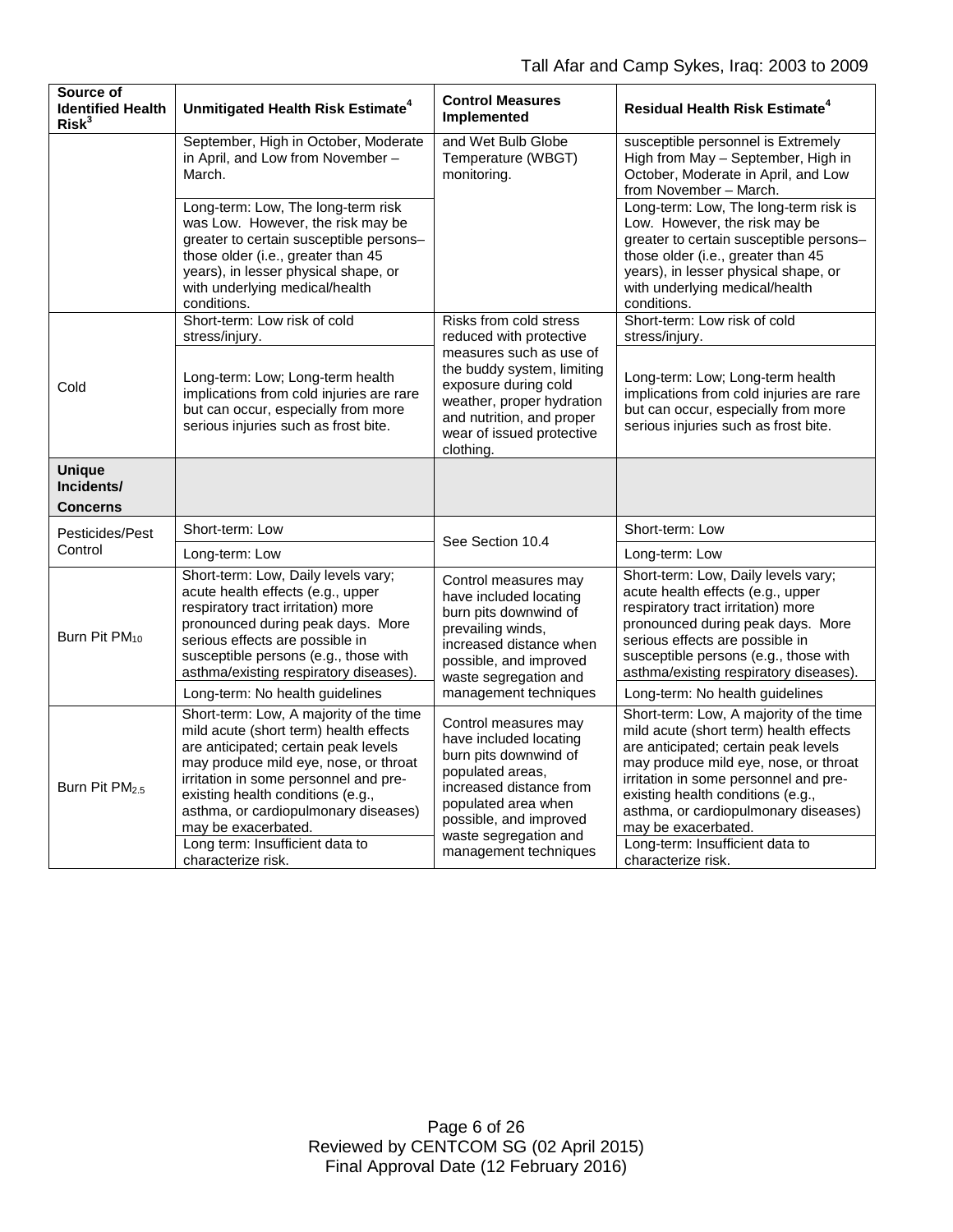| Source of<br><b>Identified Health</b><br>Risk <sup>3</sup> | Unmitigated Health Risk Estimate <sup>4</sup>                                                                                                                                                                                                                                                                                                                            | <b>Control Measures</b><br>Implemented                                                                                                                                                                                                 | <b>Residual Health Risk Estimate<sup>4</sup></b>                                                                                                                                                                                                                                                                                                                         |
|------------------------------------------------------------|--------------------------------------------------------------------------------------------------------------------------------------------------------------------------------------------------------------------------------------------------------------------------------------------------------------------------------------------------------------------------|----------------------------------------------------------------------------------------------------------------------------------------------------------------------------------------------------------------------------------------|--------------------------------------------------------------------------------------------------------------------------------------------------------------------------------------------------------------------------------------------------------------------------------------------------------------------------------------------------------------------------|
|                                                            | September, High in October, Moderate<br>in April, and Low from November -<br>March.                                                                                                                                                                                                                                                                                      | and Wet Bulb Globe<br>Temperature (WBGT)<br>monitoring.                                                                                                                                                                                | susceptible personnel is Extremely<br>High from May - September, High in<br>October, Moderate in April, and Low<br>from November - March.                                                                                                                                                                                                                                |
|                                                            | Long-term: Low, The long-term risk<br>was Low. However, the risk may be<br>greater to certain susceptible persons-<br>those older (i.e., greater than 45<br>years), in lesser physical shape, or<br>with underlying medical/health<br>conditions.                                                                                                                        |                                                                                                                                                                                                                                        | Long-term: Low, The long-term risk is<br>Low. However, the risk may be<br>greater to certain susceptible persons-<br>those older (i.e., greater than 45<br>years), in lesser physical shape, or<br>with underlying medical/health<br>conditions.                                                                                                                         |
| Cold                                                       | Short-term: Low risk of cold<br>stress/injury.                                                                                                                                                                                                                                                                                                                           | Risks from cold stress<br>reduced with protective<br>measures such as use of<br>the buddy system, limiting<br>exposure during cold<br>weather, proper hydration<br>and nutrition, and proper<br>wear of issued protective<br>clothing. | Short-term: Low risk of cold<br>stress/injury.                                                                                                                                                                                                                                                                                                                           |
|                                                            | Long-term: Low; Long-term health<br>implications from cold injuries are rare<br>but can occur, especially from more<br>serious injuries such as frost bite.                                                                                                                                                                                                              |                                                                                                                                                                                                                                        | Long-term: Low; Long-term health<br>implications from cold injuries are rare<br>but can occur, especially from more<br>serious injuries such as frost bite.                                                                                                                                                                                                              |
| <b>Unique</b><br>Incidents/<br><b>Concerns</b>             |                                                                                                                                                                                                                                                                                                                                                                          |                                                                                                                                                                                                                                        |                                                                                                                                                                                                                                                                                                                                                                          |
| Pesticides/Pest<br>Control                                 | Short-term: Low                                                                                                                                                                                                                                                                                                                                                          |                                                                                                                                                                                                                                        | Short-term: Low                                                                                                                                                                                                                                                                                                                                                          |
|                                                            | Long-term: Low                                                                                                                                                                                                                                                                                                                                                           | See Section 10.4                                                                                                                                                                                                                       | Long-term: Low                                                                                                                                                                                                                                                                                                                                                           |
| Burn Pit PM <sub>10</sub>                                  | Short-term: Low, Daily levels vary;<br>acute health effects (e.g., upper<br>respiratory tract irritation) more<br>pronounced during peak days. More<br>serious effects are possible in<br>susceptible persons (e.g., those with<br>asthma/existing respiratory diseases).                                                                                                | Control measures may<br>have included locating<br>burn pits downwind of<br>prevailing winds,<br>increased distance when<br>possible, and improved<br>waste segregation and                                                             | Short-term: Low, Daily levels vary;<br>acute health effects (e.g., upper<br>respiratory tract irritation) more<br>pronounced during peak days. More<br>serious effects are possible in<br>susceptible persons (e.g., those with<br>asthma/existing respiratory diseases).                                                                                                |
|                                                            | Long-term: No health guidelines                                                                                                                                                                                                                                                                                                                                          | management techniques                                                                                                                                                                                                                  | Long-term: No health guidelines                                                                                                                                                                                                                                                                                                                                          |
| Burn Pit PM <sub>25</sub>                                  | Short-term: Low, A majority of the time<br>mild acute (short term) health effects<br>are anticipated; certain peak levels<br>may produce mild eye, nose, or throat<br>irritation in some personnel and pre-<br>existing health conditions (e.g.,<br>asthma, or cardiopulmonary diseases)<br>may be exacerbated.<br>Long term: Insufficient data to<br>characterize risk. | Control measures may<br>have included locating<br>burn pits downwind of<br>populated areas,<br>increased distance from<br>populated area when<br>possible, and improved<br>waste segregation and<br>management techniques              | Short-term: Low, A majority of the time<br>mild acute (short term) health effects<br>are anticipated; certain peak levels<br>may produce mild eye, nose, or throat<br>irritation in some personnel and pre-<br>existing health conditions (e.g.,<br>asthma, or cardiopulmonary diseases)<br>may be exacerbated.<br>Long-term: Insufficient data to<br>characterize risk. |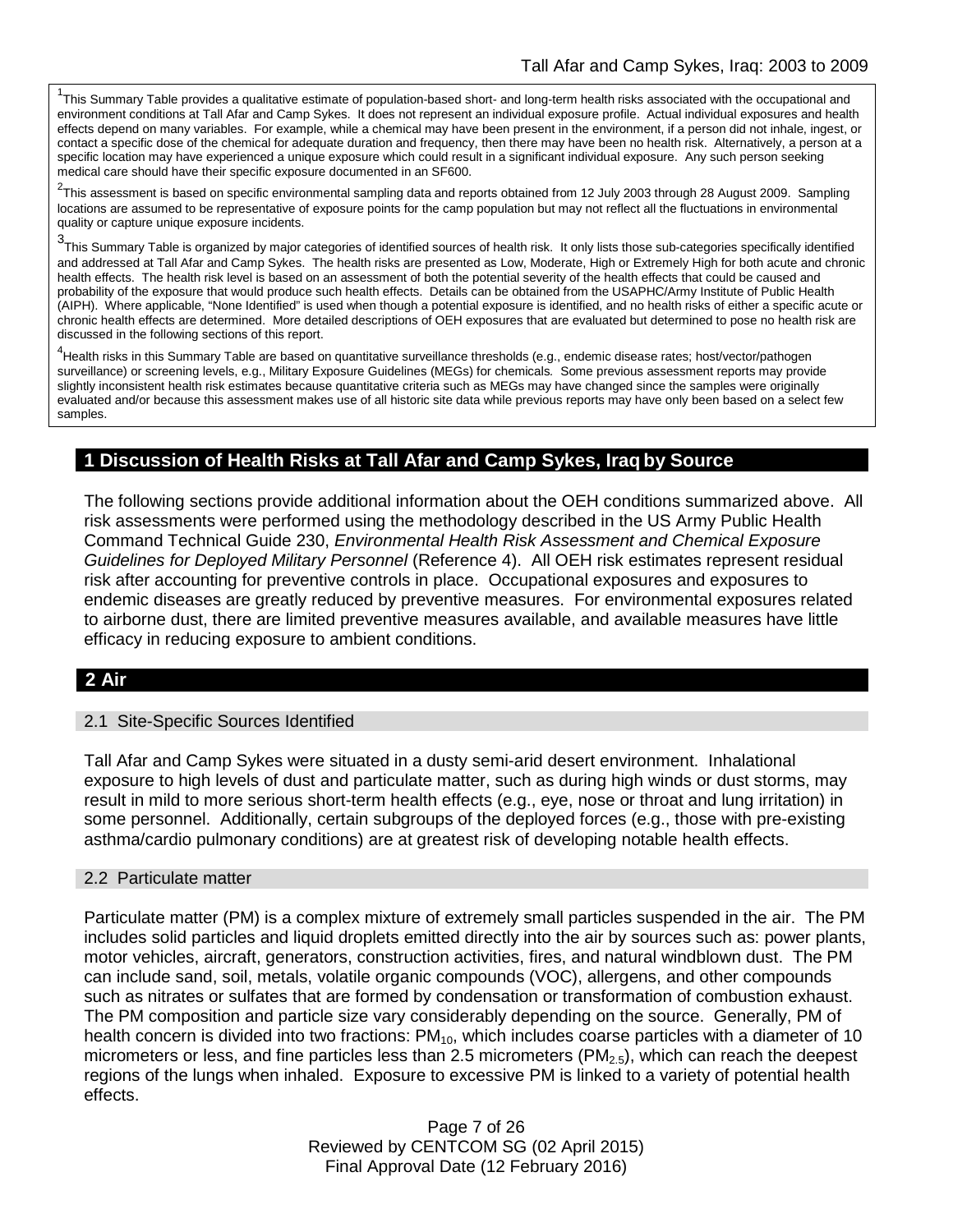<sup>1</sup>This Summary Table provides a qualitative estimate of population-based short- and long-term health risks associated with the occupational and environment conditions at Tall Afar and Camp Sykes. It does not represent an individual exposure profile. Actual individual exposures and health effects depend on many variables. For example, while a chemical may have been present in the environment, if a person did not inhale, ingest, or contact a specific dose of the chemical for adequate duration and frequency, then there may have been no health risk. Alternatively, a person at a specific location may have experienced a unique exposure which could result in a significant individual exposure. Any such person seeking medical care should have their specific exposure documented in an SF600.

<sup>2</sup>This assessment is based on specific environmental sampling data and reports obtained from 12 July 2003 through 28 August 2009. Sampling locations are assumed to be representative of exposure points for the camp population but may not reflect all the fluctuations in environmental quality or capture unique exposure incidents.

3 This Summary Table is organized by major categories of identified sources of health risk. It only lists those sub-categories specifically identified and addressed at Tall Afar and Camp Sykes. The health risks are presented as Low, Moderate, High or Extremely High for both acute and chronic health effects. The health risk level is based on an assessment of both the potential severity of the health effects that could be caused and probability of the exposure that would produce such health effects. Details can be obtained from the USAPHC/Army Institute of Public Health (AIPH). Where applicable, "None Identified" is used when though a potential exposure is identified, and no health risks of either a specific acute or chronic health effects are determined. More detailed descriptions of OEH exposures that are evaluated but determined to pose no health risk are discussed in the following sections of this report.

4 Health risks in this Summary Table are based on quantitative surveillance thresholds (e.g., endemic disease rates; host/vector/pathogen surveillance) or screening levels, e.g., Military Exposure Guidelines (MEGs) for chemicals*.* Some previous assessment reports may provide slightly inconsistent health risk estimates because quantitative criteria such as MEGs may have changed since the samples were originally evaluated and/or because this assessment makes use of all historic site data while previous reports may have only been based on a select few samples.

## **1 Discussion of Health Risks at Tall Afar and Camp Sykes, Iraq by Source**

The following sections provide additional information about the OEH conditions summarized above. All risk assessments were performed using the methodology described in the US Army Public Health Command Technical Guide 230, *Environmental Health Risk Assessment and Chemical Exposure Guidelines for Deployed Military Personnel* (Reference 4). All OEH risk estimates represent residual risk after accounting for preventive controls in place. Occupational exposures and exposures to endemic diseases are greatly reduced by preventive measures. For environmental exposures related to airborne dust, there are limited preventive measures available, and available measures have little efficacy in reducing exposure to ambient conditions.

## **2 Air**

#### 2.1 Site-Specific Sources Identified

Tall Afar and Camp Sykes were situated in a dusty semi-arid desert environment. Inhalational exposure to high levels of dust and particulate matter, such as during high winds or dust storms, may result in mild to more serious short-term health effects (e.g., eye, nose or throat and lung irritation) in some personnel. Additionally, certain subgroups of the deployed forces (e.g., those with pre-existing asthma/cardio pulmonary conditions) are at greatest risk of developing notable health effects.

#### 2.2 Particulate matter

Particulate matter (PM) is a complex mixture of extremely small particles suspended in the air. The PM includes solid particles and liquid droplets emitted directly into the air by sources such as: power plants, motor vehicles, aircraft, generators, construction activities, fires, and natural windblown dust. The PM can include sand, soil, metals, volatile organic compounds (VOC), allergens, and other compounds such as nitrates or sulfates that are formed by condensation or transformation of combustion exhaust. The PM composition and particle size vary considerably depending on the source. Generally, PM of health concern is divided into two fractions:  $PM_{10}$ , which includes coarse particles with a diameter of 10 micrometers or less, and fine particles less than 2.5 micrometers  $(PM_{2.5})$ , which can reach the deepest regions of the lungs when inhaled. Exposure to excessive PM is linked to a variety of potential health effects.

> Page 7 of 26 Reviewed by CENTCOM SG (02 April 2015) Final Approval Date (12 February 2016)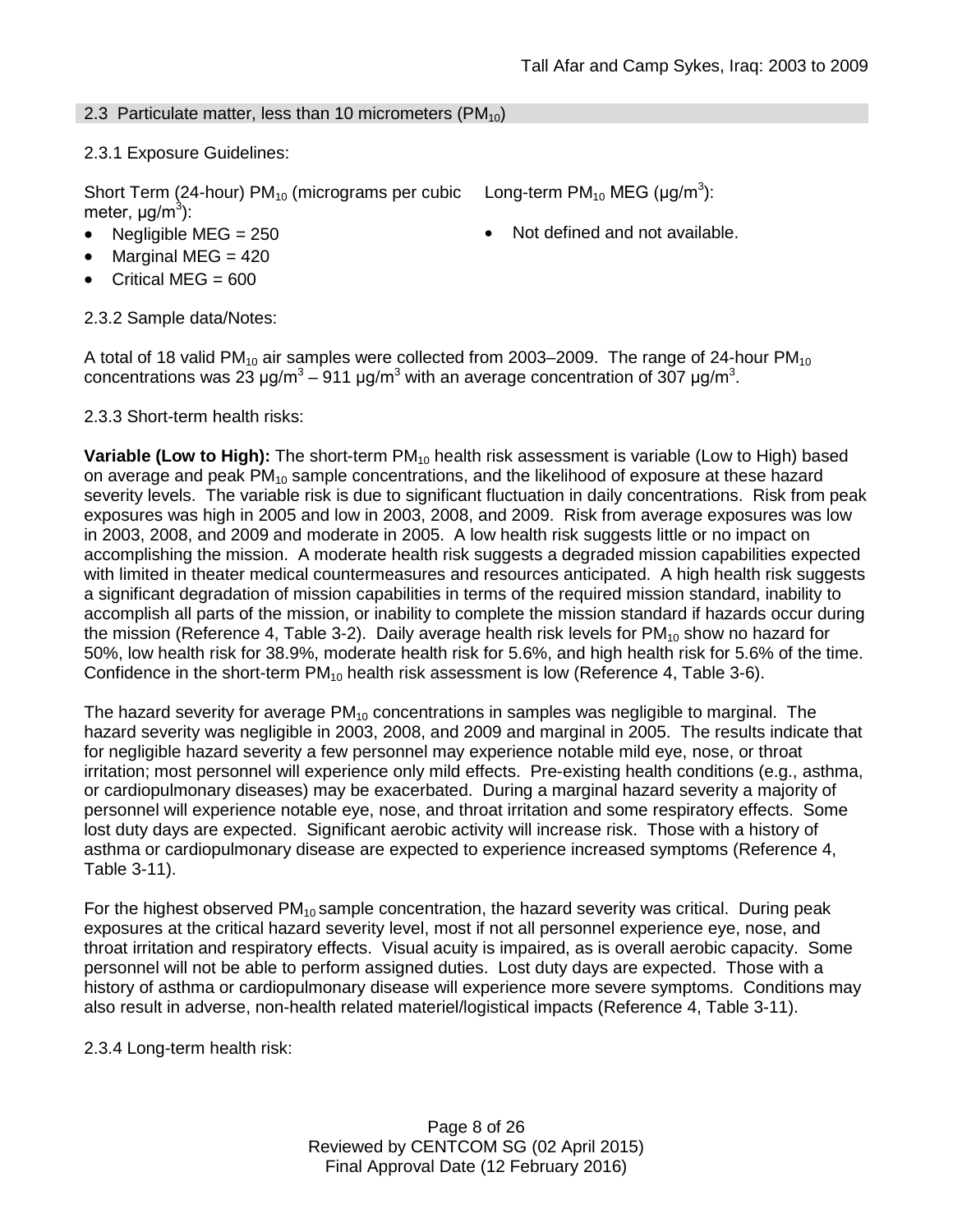## 2.3 Particulate matter, less than 10 micrometers ( $PM_{10}$ )

## 2.3.1 Exposure Guidelines:

Short Term (24-hour) PM<sub>10</sub> (micrograms per cubic Long-term PM<sub>10</sub> MEG (µg/m<sup>3</sup>): meter, μg/m<sup>3</sup>):

- Negligible MEG = 250 **•** Not defined and not available.
- Marginal MEG  $= 420$
- Critical MEG  $= 600$

2.3.2 Sample data/Notes:

A total of 18 valid PM<sub>10</sub> air samples were collected from 2003–2009. The range of 24-hour PM<sub>10</sub> concentrations was 23 μg/m<sup>3</sup> – 911 μg/m<sup>3</sup> with an average concentration of 307 μg/m<sup>3</sup>.

2.3.3 Short-term health risks:

**Variable (Low to High):** The short-term PM<sub>10</sub> health risk assessment is variable (Low to High) based on average and peak  $PM_{10}$  sample concentrations, and the likelihood of exposure at these hazard severity levels. The variable risk is due to significant fluctuation in daily concentrations. Risk from peak exposures was high in 2005 and low in 2003, 2008, and 2009. Risk from average exposures was low in 2003, 2008, and 2009 and moderate in 2005. A low health risk suggests little or no impact on accomplishing the mission. A moderate health risk suggests a degraded mission capabilities expected with limited in theater medical countermeasures and resources anticipated. A high health risk suggests a significant degradation of mission capabilities in terms of the required mission standard, inability to accomplish all parts of the mission, or inability to complete the mission standard if hazards occur during the mission (Reference 4, Table 3-2). Daily average health risk levels for  $PM_{10}$  show no hazard for 50%, low health risk for 38.9%, moderate health risk for 5.6%, and high health risk for 5.6% of the time. Confidence in the short-term  $PM_{10}$  health risk assessment is low (Reference 4, Table 3-6).

The hazard severity for average  $PM_{10}$  concentrations in samples was negligible to marginal. The hazard severity was negligible in 2003, 2008, and 2009 and marginal in 2005. The results indicate that for negligible hazard severity a few personnel may experience notable mild eye, nose, or throat irritation; most personnel will experience only mild effects. Pre-existing health conditions (e.g., asthma, or cardiopulmonary diseases) may be exacerbated. During a marginal hazard severity a majority of personnel will experience notable eye, nose, and throat irritation and some respiratory effects. Some lost duty days are expected. Significant aerobic activity will increase risk. Those with a history of asthma or cardiopulmonary disease are expected to experience increased symptoms (Reference 4, Table 3-11).

For the highest observed  $PM_{10}$  sample concentration, the hazard severity was critical. During peak exposures at the critical hazard severity level, most if not all personnel experience eye, nose, and throat irritation and respiratory effects. Visual acuity is impaired, as is overall aerobic capacity. Some personnel will not be able to perform assigned duties. Lost duty days are expected. Those with a history of asthma or cardiopulmonary disease will experience more severe symptoms. Conditions may also result in adverse, non-health related materiel/logistical impacts (Reference 4, Table 3-11).

2.3.4 Long-term health risk:

Page 8 of 26 Reviewed by CENTCOM SG (02 April 2015) Final Approval Date (12 February 2016)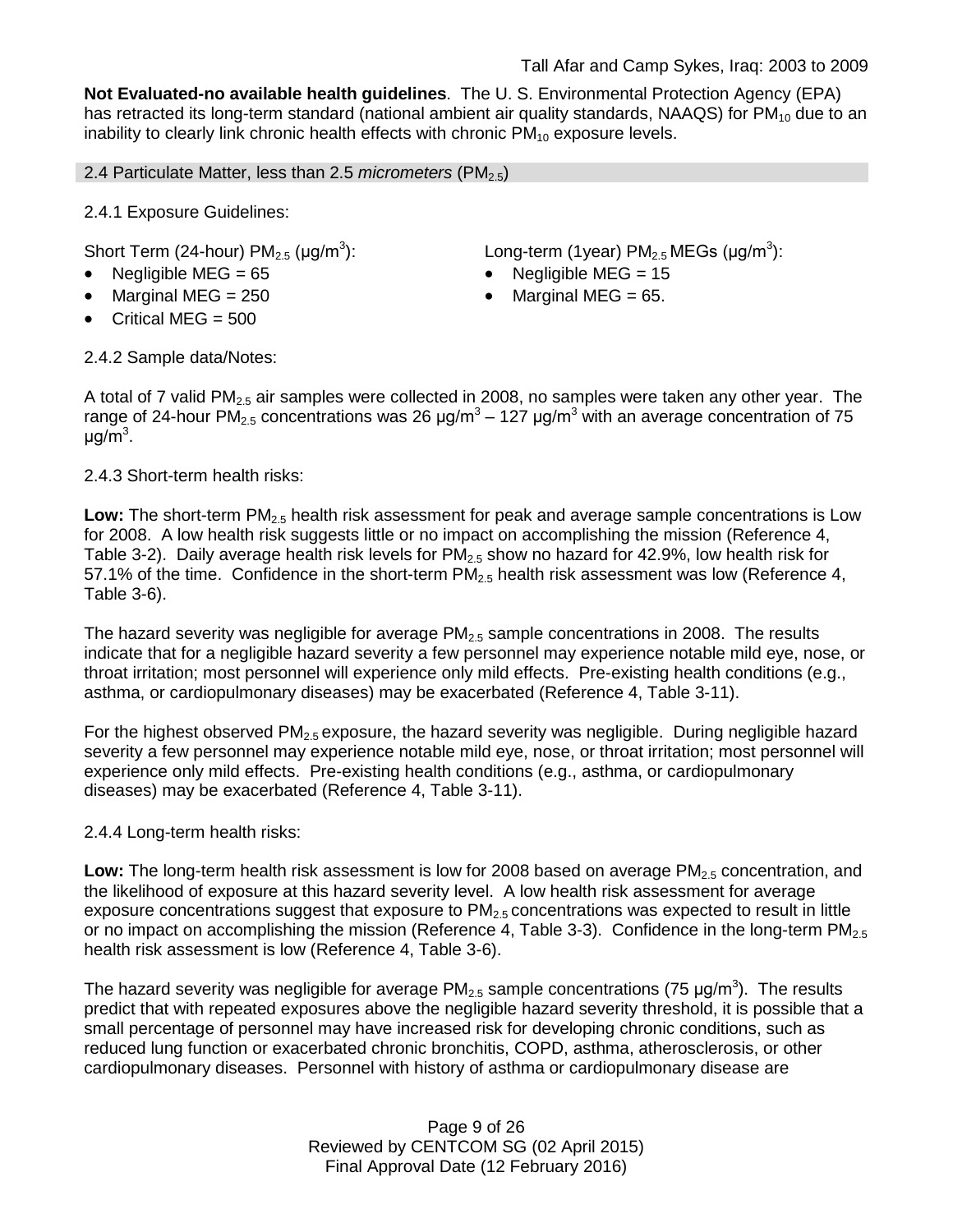**Not Evaluated-no available health guidelines**. The U. S. Environmental Protection Agency (EPA) has retracted its long-term standard (national ambient air quality standards, NAAQS) for  $PM_{10}$  due to an inability to clearly link chronic health effects with chronic  $PM_{10}$  exposure levels.

2.4 Particulate Matter, less than 2.5 *micrometers* (PM<sub>2.5</sub>)

2.4.1 Exposure Guidelines:

Short Term (24-hour)  $PM<sub>2.5</sub>$  ( $\mu$ g/m<sup>3</sup>):

- Negligible MEG = 65 Negligible MEG = 15
- 
- Critical MEG = 500

): Long-term (1year)  $PM_{2.5}$  MEGs (µg/m<sup>3</sup>):

- 
- Marginal MEG =  $250$   $\bullet$  Marginal MEG =  $65$ .

2.4.2 Sample data/Notes:

A total of 7 valid PM<sub>2.5</sub> air samples were collected in 2008, no samples were taken any other year. The range of 24-hour PM<sub>2.5</sub> concentrations was 26  $\mu$ g/m<sup>3</sup> – 127  $\mu$ g/m<sup>3</sup> with an average concentration of 75 μg/m<sup>3</sup>.

2.4.3 Short-term health risks:

Low: The short-term PM<sub>2.5</sub> health risk assessment for peak and average sample concentrations is Low for 2008. A low health risk suggests little or no impact on accomplishing the mission (Reference 4, Table 3-2). Daily average health risk levels for  $PM<sub>2.5</sub>$  show no hazard for 42.9%, low health risk for 57.1% of the time. Confidence in the short-term  $PM_{2.5}$  health risk assessment was low (Reference 4, Table 3-6).

The hazard severity was negligible for average  $PM<sub>2.5</sub>$  sample concentrations in 2008. The results indicate that for a negligible hazard severity a few personnel may experience notable mild eye, nose, or throat irritation; most personnel will experience only mild effects. Pre-existing health conditions (e.g., asthma, or cardiopulmonary diseases) may be exacerbated (Reference 4, Table 3-11).

For the highest observed  $PM<sub>2.5</sub>$  exposure, the hazard severity was negligible. During negligible hazard severity a few personnel may experience notable mild eye, nose, or throat irritation; most personnel will experience only mild effects. Pre-existing health conditions (e.g., asthma, or cardiopulmonary diseases) may be exacerbated (Reference 4, Table 3-11).

2.4.4 Long-term health risks:

Low: The long-term health risk assessment is low for 2008 based on average PM<sub>2.5</sub> concentration, and the likelihood of exposure at this hazard severity level. A low health risk assessment for average exposure concentrations suggest that exposure to  $PM<sub>2.5</sub>$  concentrations was expected to result in little or no impact on accomplishing the mission (Reference 4, Table 3-3). Confidence in the long-term PM<sub>2.5</sub> health risk assessment is low (Reference 4, Table 3-6).

The hazard severity was negligible for average PM<sub>2.5</sub> sample concentrations (75 µg/m<sup>3</sup>). The results predict that with repeated exposures above the negligible hazard severity threshold, it is possible that a small percentage of personnel may have increased risk for developing chronic conditions, such as reduced lung function or exacerbated chronic bronchitis, COPD, asthma, atherosclerosis, or other cardiopulmonary diseases. Personnel with history of asthma or cardiopulmonary disease are

> Page 9 of 26 Reviewed by CENTCOM SG (02 April 2015) Final Approval Date (12 February 2016)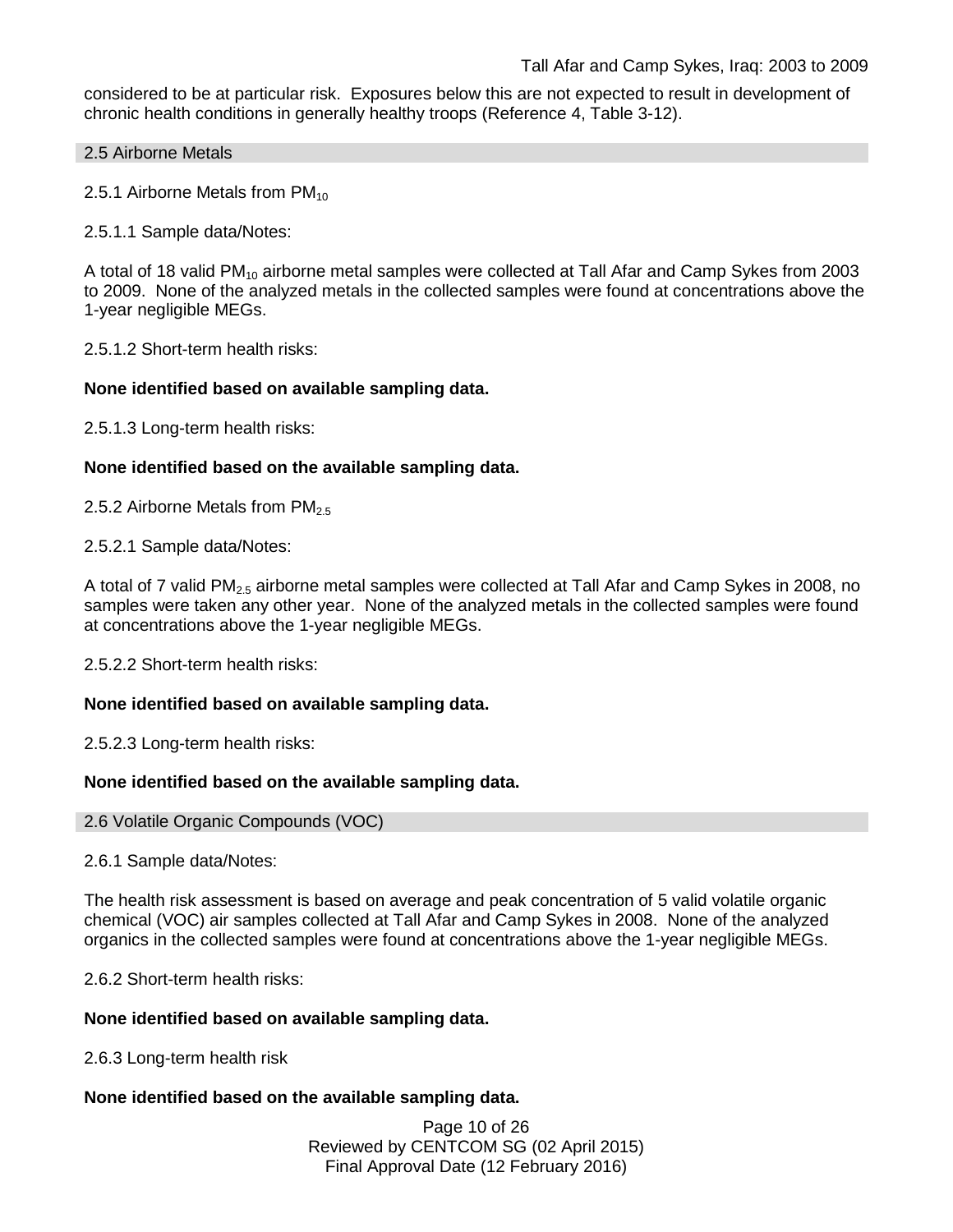considered to be at particular risk. Exposures below this are not expected to result in development of chronic health conditions in generally healthy troops (Reference 4, Table 3-12).

#### 2.5 Airborne Metals

2.5.1 Airborne Metals from  $PM_{10}$ 

2.5.1.1 Sample data/Notes:

A total of 18 valid PM<sub>10</sub> airborne metal samples were collected at Tall Afar and Camp Sykes from 2003 to 2009. None of the analyzed metals in the collected samples were found at concentrations above the 1-year negligible MEGs.

2.5.1.2 Short-term health risks:

## **None identified based on available sampling data.**

2.5.1.3 Long-term health risks:

## **None identified based on the available sampling data.**

2.5.2 Airborne Metals from  $PM_{2.5}$ 

2.5.2.1 Sample data/Notes:

A total of 7 valid PM<sub>2.5</sub> airborne metal samples were collected at Tall Afar and Camp Sykes in 2008, no samples were taken any other year. None of the analyzed metals in the collected samples were found at concentrations above the 1-year negligible MEGs.

2.5.2.2 Short-term health risks:

## **None identified based on available sampling data.**

2.5.2.3 Long-term health risks:

## **None identified based on the available sampling data.**

#### 2.6 Volatile Organic Compounds (VOC)

2.6.1 Sample data/Notes:

The health risk assessment is based on average and peak concentration of 5 valid volatile organic chemical (VOC) air samples collected at Tall Afar and Camp Sykes in 2008. None of the analyzed organics in the collected samples were found at concentrations above the 1-year negligible MEGs.

2.6.2 Short-term health risks:

## **None identified based on available sampling data.**

2.6.3 Long-term health risk

## **None identified based on the available sampling data.**

Page 10 of 26 Reviewed by CENTCOM SG (02 April 2015) Final Approval Date (12 February 2016)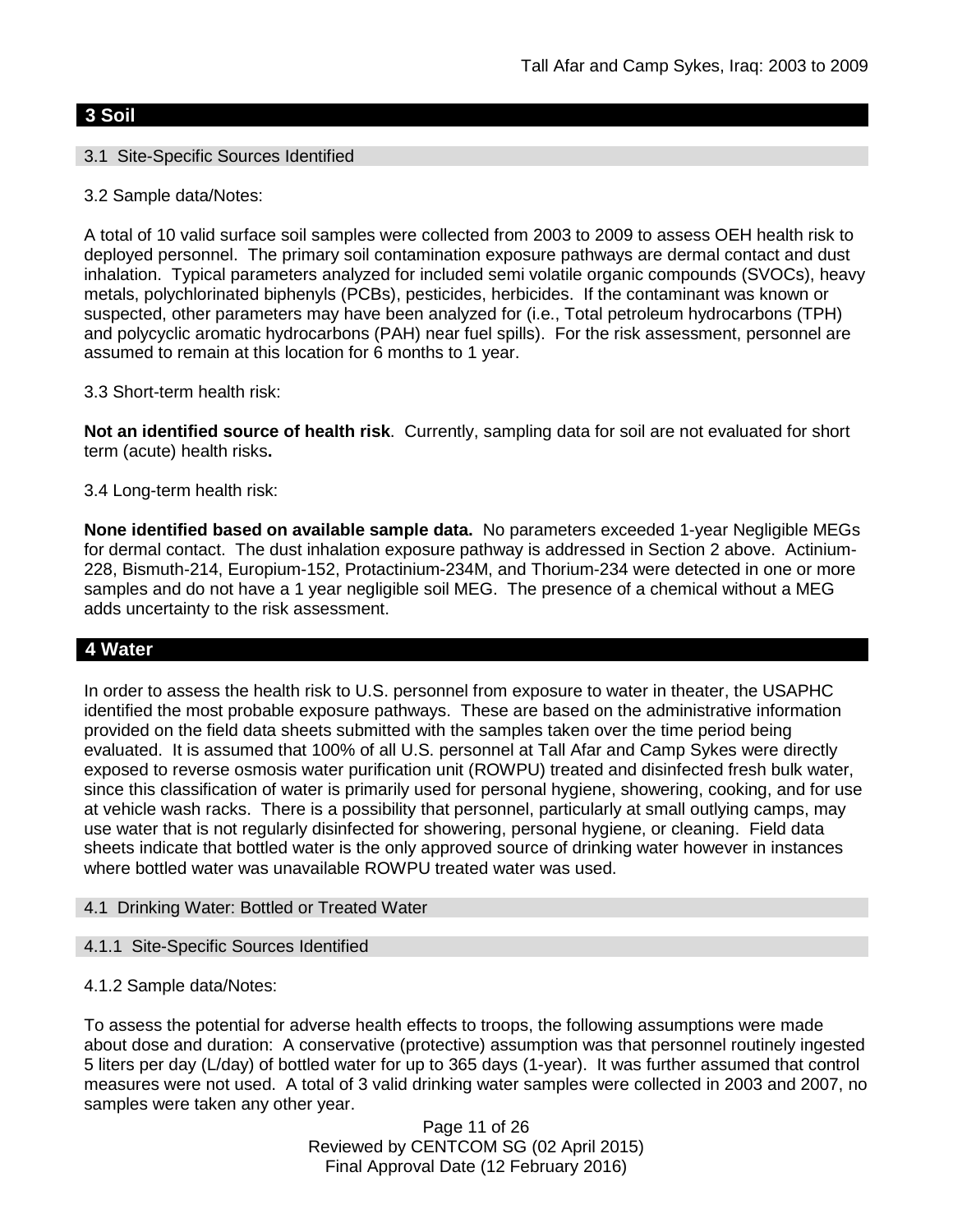## **3 Soil**

## 3.1 Site-Specific Sources Identified

3.2 Sample data/Notes:

A total of 10 valid surface soil samples were collected from 2003 to 2009 to assess OEH health risk to deployed personnel. The primary soil contamination exposure pathways are dermal contact and dust inhalation. Typical parameters analyzed for included semi volatile organic compounds (SVOCs), heavy metals, polychlorinated biphenyls (PCBs), pesticides, herbicides. If the contaminant was known or suspected, other parameters may have been analyzed for (i.e., Total petroleum hydrocarbons (TPH) and polycyclic aromatic hydrocarbons (PAH) near fuel spills). For the risk assessment, personnel are assumed to remain at this location for 6 months to 1 year.

### 3.3 Short-term health risk:

**Not an identified source of health risk**. Currently, sampling data for soil are not evaluated for short term (acute) health risks**.**

### 3.4 Long-term health risk:

**None identified based on available sample data.** No parameters exceeded 1-year Negligible MEGs for dermal contact. The dust inhalation exposure pathway is addressed in Section 2 above. Actinium-228, Bismuth-214, Europium-152, Protactinium-234M, and Thorium-234 were detected in one or more samples and do not have a 1 year negligible soil MEG. The presence of a chemical without a MEG adds uncertainty to the risk assessment.

## **4 Water**

In order to assess the health risk to U.S. personnel from exposure to water in theater, the USAPHC identified the most probable exposure pathways. These are based on the administrative information provided on the field data sheets submitted with the samples taken over the time period being evaluated. It is assumed that 100% of all U.S. personnel at Tall Afar and Camp Sykes were directly exposed to reverse osmosis water purification unit (ROWPU) treated and disinfected fresh bulk water, since this classification of water is primarily used for personal hygiene, showering, cooking, and for use at vehicle wash racks. There is a possibility that personnel, particularly at small outlying camps, may use water that is not regularly disinfected for showering, personal hygiene, or cleaning. Field data sheets indicate that bottled water is the only approved source of drinking water however in instances where bottled water was unavailable ROWPU treated water was used.

#### 4.1 Drinking Water: Bottled or Treated Water

#### 4.1.1 Site-Specific Sources Identified

4.1.2 Sample data/Notes:

To assess the potential for adverse health effects to troops, the following assumptions were made about dose and duration: A conservative (protective) assumption was that personnel routinely ingested 5 liters per day (L/day) of bottled water for up to 365 days (1-year). It was further assumed that control measures were not used. A total of 3 valid drinking water samples were collected in 2003 and 2007, no samples were taken any other year.

> Page 11 of 26 Reviewed by CENTCOM SG (02 April 2015) Final Approval Date (12 February 2016)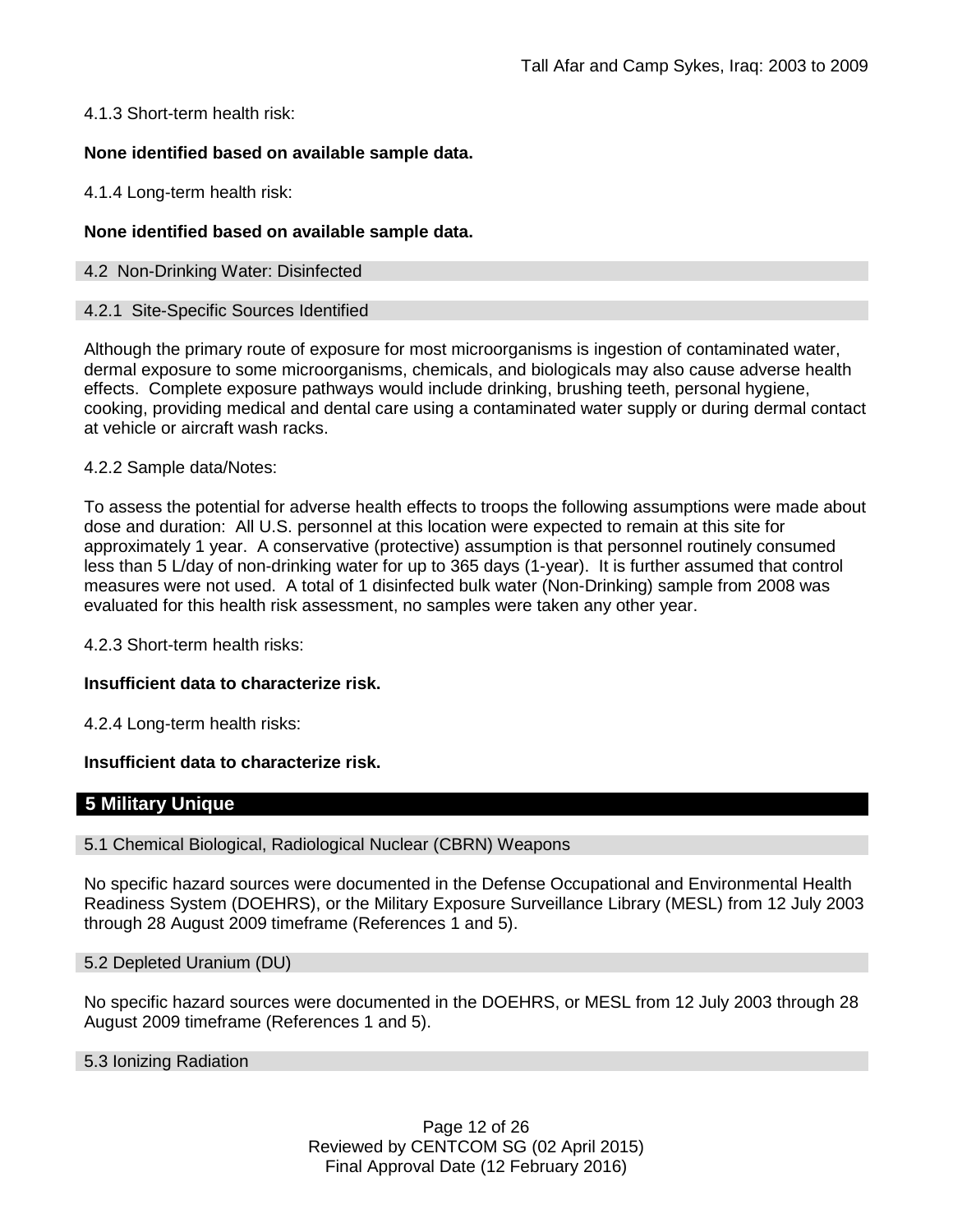4.1.3 Short-term health risk:

## **None identified based on available sample data.**

4.1.4 Long-term health risk:

### **None identified based on available sample data.**

### 4.2 Non-Drinking Water: Disinfected

#### 4.2.1 Site-Specific Sources Identified

Although the primary route of exposure for most microorganisms is ingestion of contaminated water, dermal exposure to some microorganisms, chemicals, and biologicals may also cause adverse health effects. Complete exposure pathways would include drinking, brushing teeth, personal hygiene, cooking, providing medical and dental care using a contaminated water supply or during dermal contact at vehicle or aircraft wash racks.

#### 4.2.2 Sample data/Notes:

To assess the potential for adverse health effects to troops the following assumptions were made about dose and duration: All U.S. personnel at this location were expected to remain at this site for approximately 1 year. A conservative (protective) assumption is that personnel routinely consumed less than 5 L/day of non-drinking water for up to 365 days (1-year). It is further assumed that control measures were not used. A total of 1 disinfected bulk water (Non-Drinking) sample from 2008 was evaluated for this health risk assessment, no samples were taken any other year.

4.2.3 Short-term health risks:

## **Insufficient data to characterize risk.**

4.2.4 Long-term health risks:

#### **Insufficient data to characterize risk.**

## **5 Military Unique**

#### 5.1 Chemical Biological, Radiological Nuclear (CBRN) Weapons

No specific hazard sources were documented in the Defense Occupational and Environmental Health Readiness System (DOEHRS), or the Military Exposure Surveillance Library (MESL) from 12 July 2003 through 28 August 2009 timeframe (References 1 and 5).

#### 5.2 Depleted Uranium (DU)

No specific hazard sources were documented in the DOEHRS, or MESL from 12 July 2003 through 28 August 2009 timeframe (References 1 and 5).

#### 5.3 Ionizing Radiation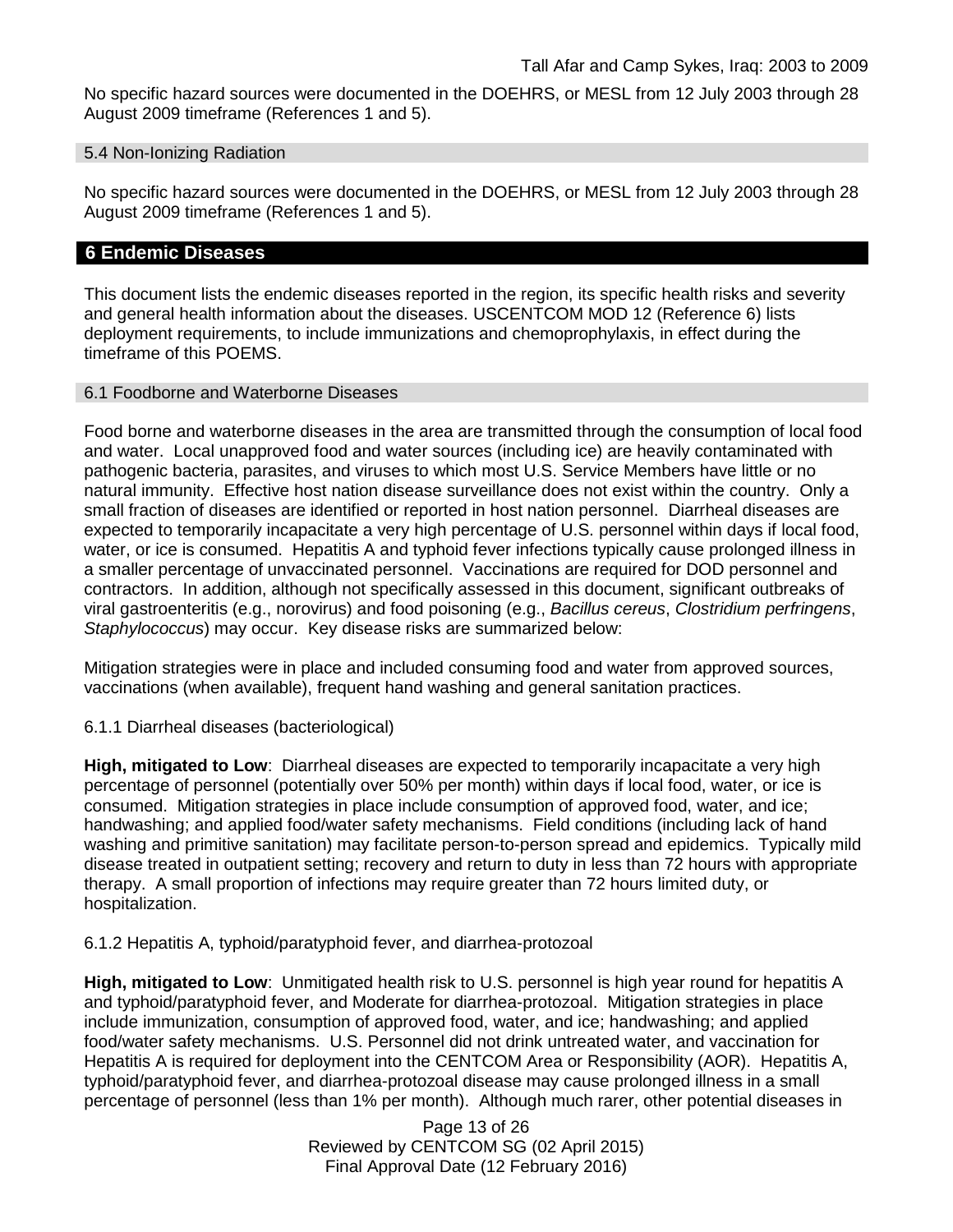No specific hazard sources were documented in the DOEHRS, or MESL from 12 July 2003 through 28 August 2009 timeframe (References 1 and 5).

#### 5.4 Non-Ionizing Radiation

No specific hazard sources were documented in the DOEHRS, or MESL from 12 July 2003 through 28 August 2009 timeframe (References 1 and 5).

## **6 Endemic Diseases**

This document lists the endemic diseases reported in the region, its specific health risks and severity and general health information about the diseases. USCENTCOM MOD 12 (Reference 6) lists deployment requirements, to include immunizations and chemoprophylaxis, in effect during the timeframe of this POEMS.

### 6.1 Foodborne and Waterborne Diseases

Food borne and waterborne diseases in the area are transmitted through the consumption of local food and water. Local unapproved food and water sources (including ice) are heavily contaminated with pathogenic bacteria, parasites, and viruses to which most U.S. Service Members have little or no natural immunity. Effective host nation disease surveillance does not exist within the country. Only a small fraction of diseases are identified or reported in host nation personnel. Diarrheal diseases are expected to temporarily incapacitate a very high percentage of U.S. personnel within days if local food, water, or ice is consumed. Hepatitis A and typhoid fever infections typically cause prolonged illness in a smaller percentage of unvaccinated personnel. Vaccinations are required for DOD personnel and contractors. In addition, although not specifically assessed in this document, significant outbreaks of viral gastroenteritis (e.g., norovirus) and food poisoning (e.g., *Bacillus cereus*, *Clostridium perfringens*, *Staphylococcus*) may occur. Key disease risks are summarized below:

Mitigation strategies were in place and included consuming food and water from approved sources, vaccinations (when available), frequent hand washing and general sanitation practices.

6.1.1 Diarrheal diseases (bacteriological)

**High, mitigated to Low**: Diarrheal diseases are expected to temporarily incapacitate a very high percentage of personnel (potentially over 50% per month) within days if local food, water, or ice is consumed. Mitigation strategies in place include consumption of approved food, water, and ice; handwashing; and applied food/water safety mechanisms. Field conditions (including lack of hand washing and primitive sanitation) may facilitate person-to-person spread and epidemics. Typically mild disease treated in outpatient setting; recovery and return to duty in less than 72 hours with appropriate therapy. A small proportion of infections may require greater than 72 hours limited duty, or hospitalization.

6.1.2 Hepatitis A, typhoid/paratyphoid fever, and diarrhea-protozoal

**High, mitigated to Low**: Unmitigated health risk to U.S. personnel is high year round for hepatitis A and typhoid/paratyphoid fever, and Moderate for diarrhea-protozoal. Mitigation strategies in place include immunization, consumption of approved food, water, and ice; handwashing; and applied food/water safety mechanisms. U.S. Personnel did not drink untreated water, and vaccination for Hepatitis A is required for deployment into the CENTCOM Area or Responsibility (AOR). Hepatitis A, typhoid/paratyphoid fever, and diarrhea-protozoal disease may cause prolonged illness in a small percentage of personnel (less than 1% per month). Although much rarer, other potential diseases in

> Page 13 of 26 Reviewed by CENTCOM SG (02 April 2015) Final Approval Date (12 February 2016)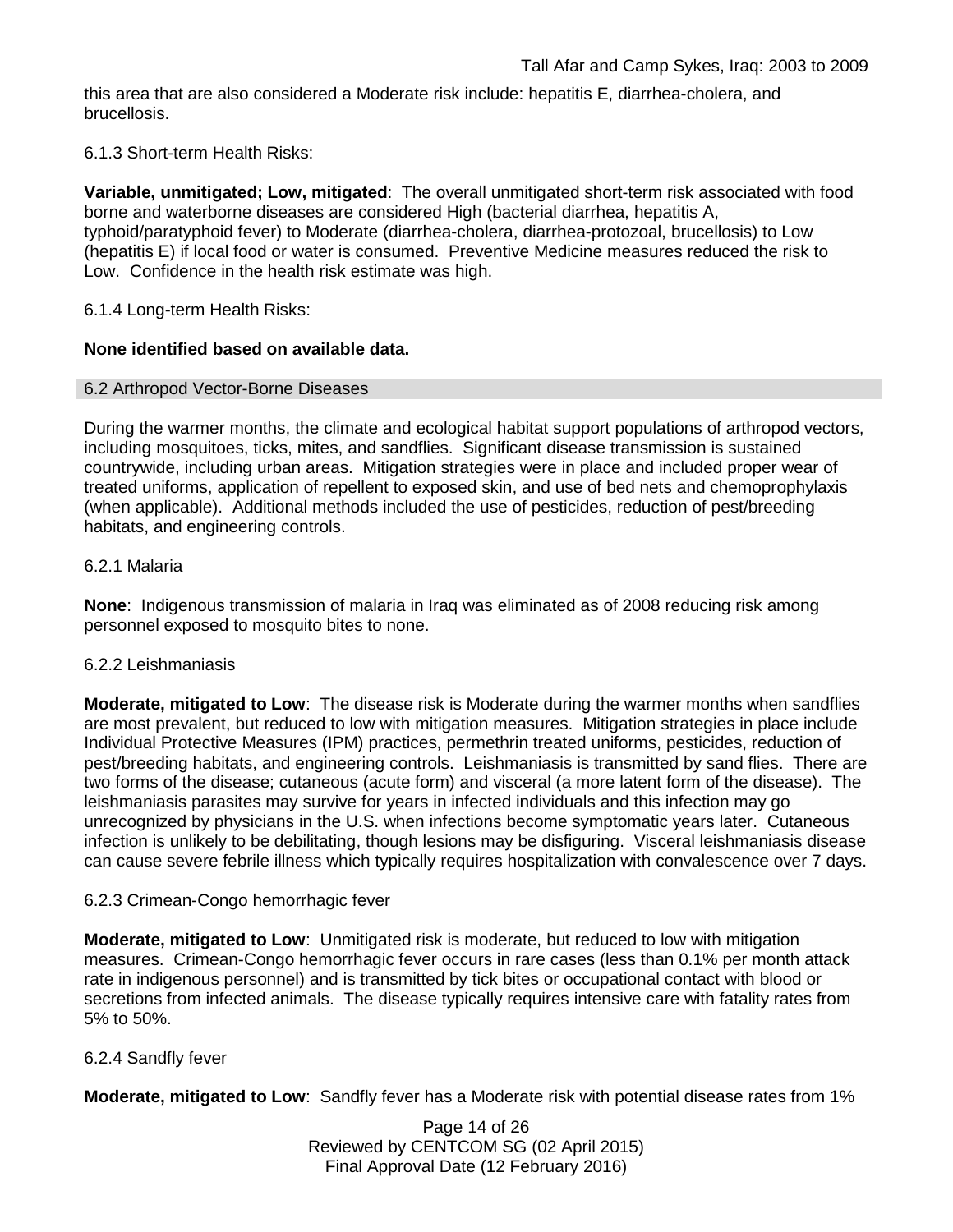this area that are also considered a Moderate risk include: hepatitis E, diarrhea-cholera, and brucellosis.

## 6.1.3 Short-term Health Risks:

**Variable, unmitigated; Low, mitigated**: The overall unmitigated short-term risk associated with food borne and waterborne diseases are considered High (bacterial diarrhea, hepatitis A, typhoid/paratyphoid fever) to Moderate (diarrhea-cholera, diarrhea-protozoal, brucellosis) to Low (hepatitis E) if local food or water is consumed. Preventive Medicine measures reduced the risk to Low. Confidence in the health risk estimate was high.

6.1.4 Long-term Health Risks:

## **None identified based on available data.**

### 6.2 Arthropod Vector-Borne Diseases

During the warmer months, the climate and ecological habitat support populations of arthropod vectors, including mosquitoes, ticks, mites, and sandflies. Significant disease transmission is sustained countrywide, including urban areas. Mitigation strategies were in place and included proper wear of treated uniforms, application of repellent to exposed skin, and use of bed nets and chemoprophylaxis (when applicable). Additional methods included the use of pesticides, reduction of pest/breeding habitats, and engineering controls.

### 6.2.1 Malaria

**None**: Indigenous transmission of malaria in Iraq was eliminated as of 2008 reducing risk among personnel exposed to mosquito bites to none.

#### 6.2.2 Leishmaniasis

**Moderate, mitigated to Low**: The disease risk is Moderate during the warmer months when sandflies are most prevalent, but reduced to low with mitigation measures. Mitigation strategies in place include Individual Protective Measures (IPM) practices, permethrin treated uniforms, pesticides, reduction of pest/breeding habitats, and engineering controls. Leishmaniasis is transmitted by sand flies. There are two forms of the disease; cutaneous (acute form) and visceral (a more latent form of the disease). The leishmaniasis parasites may survive for years in infected individuals and this infection may go unrecognized by physicians in the U.S. when infections become symptomatic years later. Cutaneous infection is unlikely to be debilitating, though lesions may be disfiguring. Visceral leishmaniasis disease can cause severe febrile illness which typically requires hospitalization with convalescence over 7 days.

#### 6.2.3 Crimean-Congo hemorrhagic fever

**Moderate, mitigated to Low**: Unmitigated risk is moderate, but reduced to low with mitigation measures. Crimean-Congo hemorrhagic fever occurs in rare cases (less than 0.1% per month attack rate in indigenous personnel) and is transmitted by tick bites or occupational contact with blood or secretions from infected animals. The disease typically requires intensive care with fatality rates from 5% to 50%.

#### 6.2.4 Sandfly fever

**Moderate, mitigated to Low**: Sandfly fever has a Moderate risk with potential disease rates from 1%

Page 14 of 26 Reviewed by CENTCOM SG (02 April 2015) Final Approval Date (12 February 2016)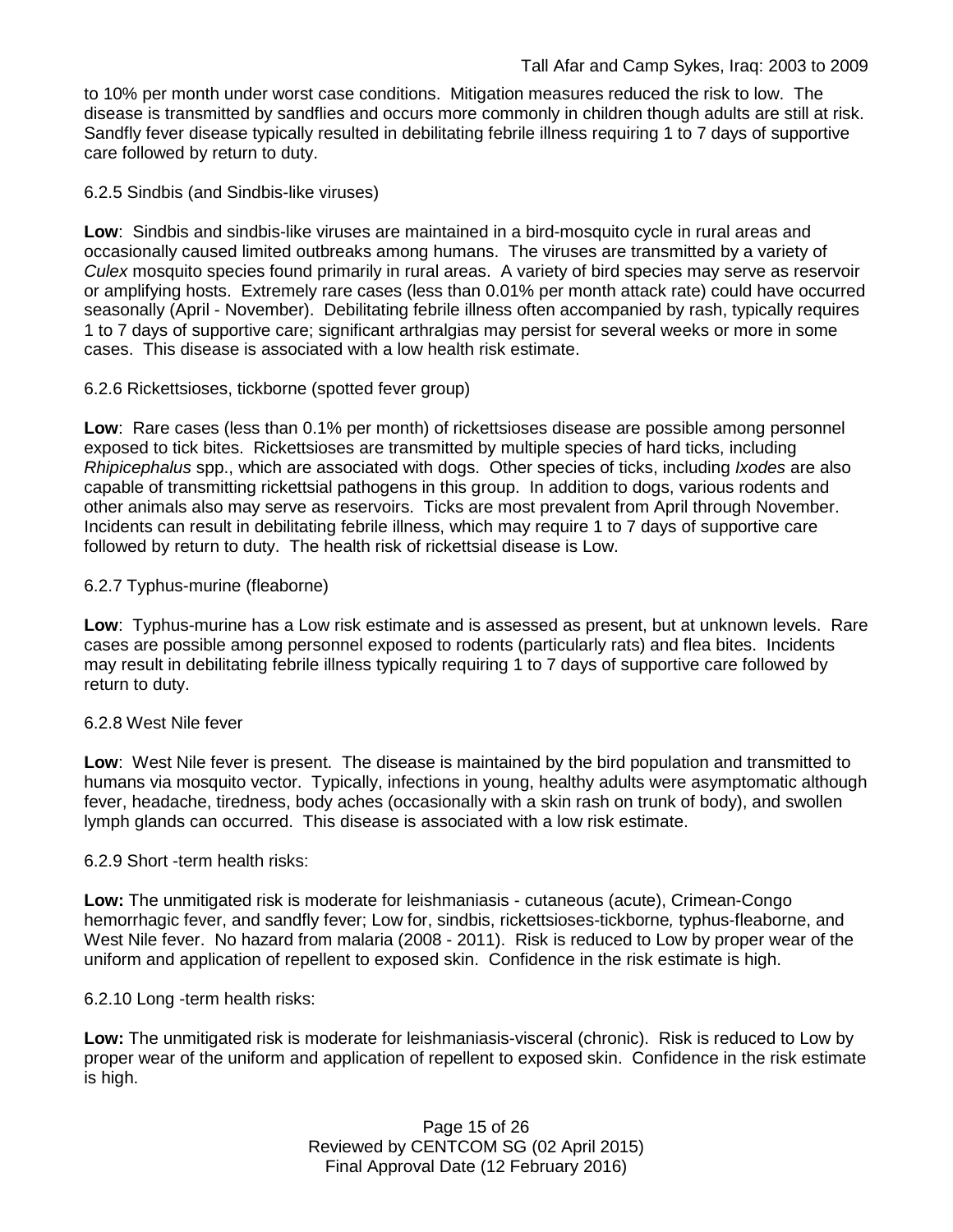to 10% per month under worst case conditions. Mitigation measures reduced the risk to low. The disease is transmitted by sandflies and occurs more commonly in children though adults are still at risk. Sandfly fever disease typically resulted in debilitating febrile illness requiring 1 to 7 days of supportive care followed by return to duty.

6.2.5 Sindbis (and Sindbis-like viruses)

**Low**: Sindbis and sindbis-like viruses are maintained in a bird-mosquito cycle in rural areas and occasionally caused limited outbreaks among humans. The viruses are transmitted by a variety of *Culex* mosquito species found primarily in rural areas. A variety of bird species may serve as reservoir or amplifying hosts. Extremely rare cases (less than 0.01% per month attack rate) could have occurred seasonally (April - November). Debilitating febrile illness often accompanied by rash, typically requires 1 to 7 days of supportive care; significant arthralgias may persist for several weeks or more in some cases. This disease is associated with a low health risk estimate.

## 6.2.6 Rickettsioses, tickborne (spotted fever group)

**Low**: Rare cases (less than 0.1% per month) of rickettsioses disease are possible among personnel exposed to tick bites. Rickettsioses are transmitted by multiple species of hard ticks, including *Rhipicephalus* spp., which are associated with dogs. Other species of ticks, including *Ixodes* are also capable of transmitting rickettsial pathogens in this group. In addition to dogs, various rodents and other animals also may serve as reservoirs. Ticks are most prevalent from April through November. Incidents can result in debilitating febrile illness, which may require 1 to 7 days of supportive care followed by return to duty. The health risk of rickettsial disease is Low.

## 6.2.7 Typhus-murine (fleaborne)

**Low**: Typhus-murine has a Low risk estimate and is assessed as present, but at unknown levels. Rare cases are possible among personnel exposed to rodents (particularly rats) and flea bites. Incidents may result in debilitating febrile illness typically requiring 1 to 7 days of supportive care followed by return to duty.

## 6.2.8 West Nile fever

**Low**: West Nile fever is present. The disease is maintained by the bird population and transmitted to humans via mosquito vector. Typically, infections in young, healthy adults were asymptomatic although fever, headache, tiredness, body aches (occasionally with a skin rash on trunk of body), and swollen lymph glands can occurred. This disease is associated with a low risk estimate.

## 6.2.9 Short -term health risks:

**Low:** The unmitigated risk is moderate for leishmaniasis - cutaneous (acute), Crimean-Congo hemorrhagic fever, and sandfly fever; Low for, sindbis, rickettsioses-tickborne*,* typhus-fleaborne, and West Nile fever. No hazard from malaria (2008 - 2011). Risk is reduced to Low by proper wear of the uniform and application of repellent to exposed skin. Confidence in the risk estimate is high.

6.2.10 Long -term health risks:

**Low:** The unmitigated risk is moderate for leishmaniasis-visceral (chronic). Risk is reduced to Low by proper wear of the uniform and application of repellent to exposed skin. Confidence in the risk estimate is high.

> Page 15 of 26 Reviewed by CENTCOM SG (02 April 2015) Final Approval Date (12 February 2016)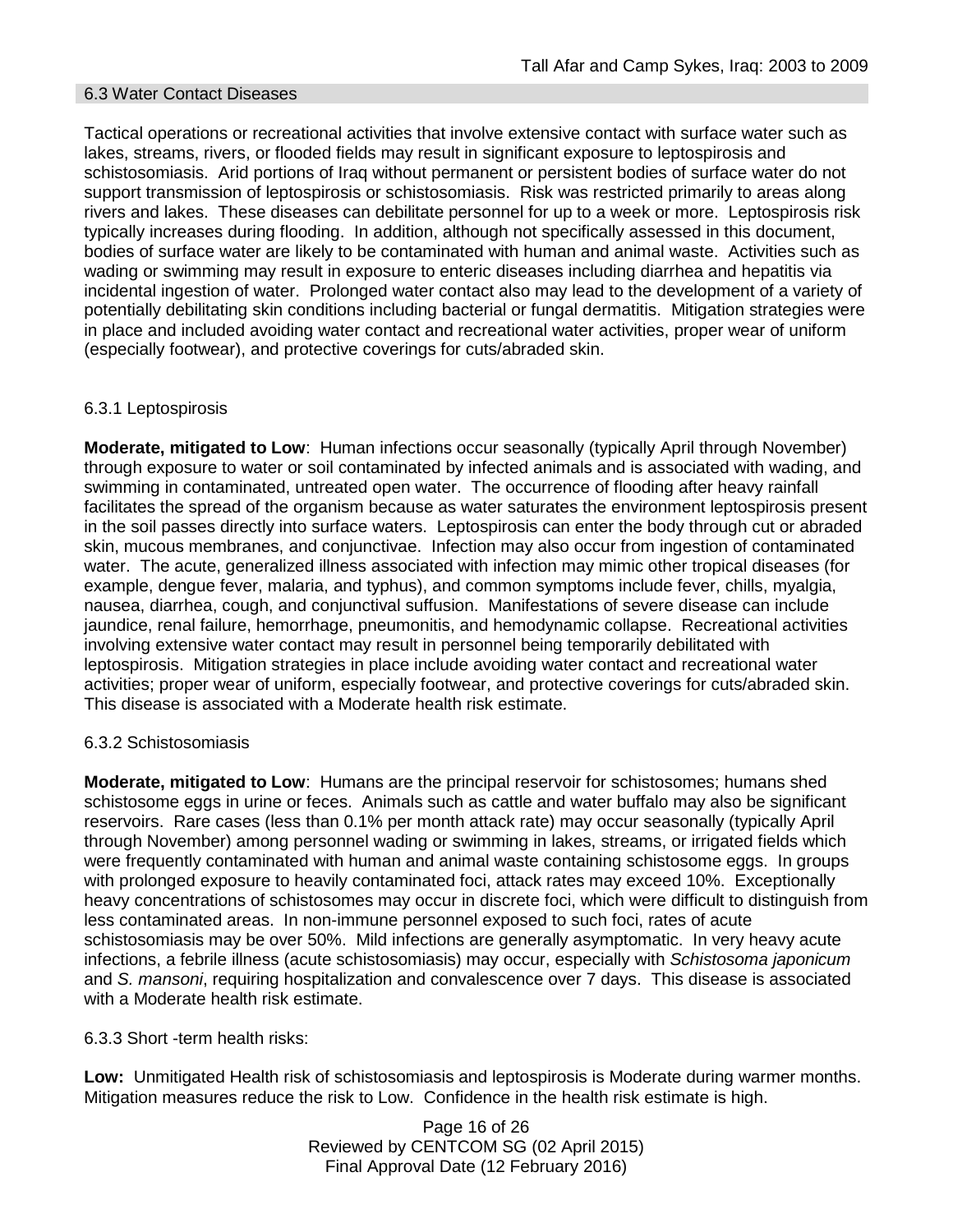### 6.3 Water Contact Diseases

Tactical operations or recreational activities that involve extensive contact with surface water such as lakes, streams, rivers, or flooded fields may result in significant exposure to leptospirosis and schistosomiasis. Arid portions of Iraq without permanent or persistent bodies of surface water do not support transmission of leptospirosis or schistosomiasis. Risk was restricted primarily to areas along rivers and lakes. These diseases can debilitate personnel for up to a week or more. Leptospirosis risk typically increases during flooding. In addition, although not specifically assessed in this document, bodies of surface water are likely to be contaminated with human and animal waste. Activities such as wading or swimming may result in exposure to enteric diseases including diarrhea and hepatitis via incidental ingestion of water. Prolonged water contact also may lead to the development of a variety of potentially debilitating skin conditions including bacterial or fungal dermatitis. Mitigation strategies were in place and included avoiding water contact and recreational water activities, proper wear of uniform (especially footwear), and protective coverings for cuts/abraded skin.

### 6.3.1 Leptospirosis

**Moderate, mitigated to Low**: Human infections occur seasonally (typically April through November) through exposure to water or soil contaminated by infected animals and is associated with wading, and swimming in contaminated, untreated open water. The occurrence of flooding after heavy rainfall facilitates the spread of the organism because as water saturates the environment leptospirosis present in the soil passes directly into surface waters. Leptospirosis can enter the body through cut or abraded skin, mucous membranes, and conjunctivae. Infection may also occur from ingestion of contaminated water. The acute, generalized illness associated with infection may mimic other tropical diseases (for example, dengue fever, malaria, and typhus), and common symptoms include fever, chills, myalgia, nausea, diarrhea, cough, and conjunctival suffusion. Manifestations of severe disease can include jaundice, renal failure, hemorrhage, pneumonitis, and hemodynamic collapse. Recreational activities involving extensive water contact may result in personnel being temporarily debilitated with leptospirosis. Mitigation strategies in place include avoiding water contact and recreational water activities; proper wear of uniform, especially footwear, and protective coverings for cuts/abraded skin. This disease is associated with a Moderate health risk estimate.

#### 6.3.2 Schistosomiasis

**Moderate, mitigated to Low**: Humans are the principal reservoir for schistosomes; humans shed schistosome eggs in urine or feces. Animals such as cattle and water buffalo may also be significant reservoirs. Rare cases (less than 0.1% per month attack rate) may occur seasonally (typically April through November) among personnel wading or swimming in lakes, streams, or irrigated fields which were frequently contaminated with human and animal waste containing schistosome eggs. In groups with prolonged exposure to heavily contaminated foci, attack rates may exceed 10%. Exceptionally heavy concentrations of schistosomes may occur in discrete foci, which were difficult to distinguish from less contaminated areas. In non-immune personnel exposed to such foci, rates of acute schistosomiasis may be over 50%. Mild infections are generally asymptomatic. In very heavy acute infections, a febrile illness (acute schistosomiasis) may occur, especially with *Schistosoma japonicum*  and *S. mansoni*, requiring hospitalization and convalescence over 7 days. This disease is associated with a Moderate health risk estimate.

6.3.3 Short -term health risks:

**Low:** Unmitigated Health risk of schistosomiasis and leptospirosis is Moderate during warmer months. Mitigation measures reduce the risk to Low. Confidence in the health risk estimate is high.

> Page 16 of 26 Reviewed by CENTCOM SG (02 April 2015) Final Approval Date (12 February 2016)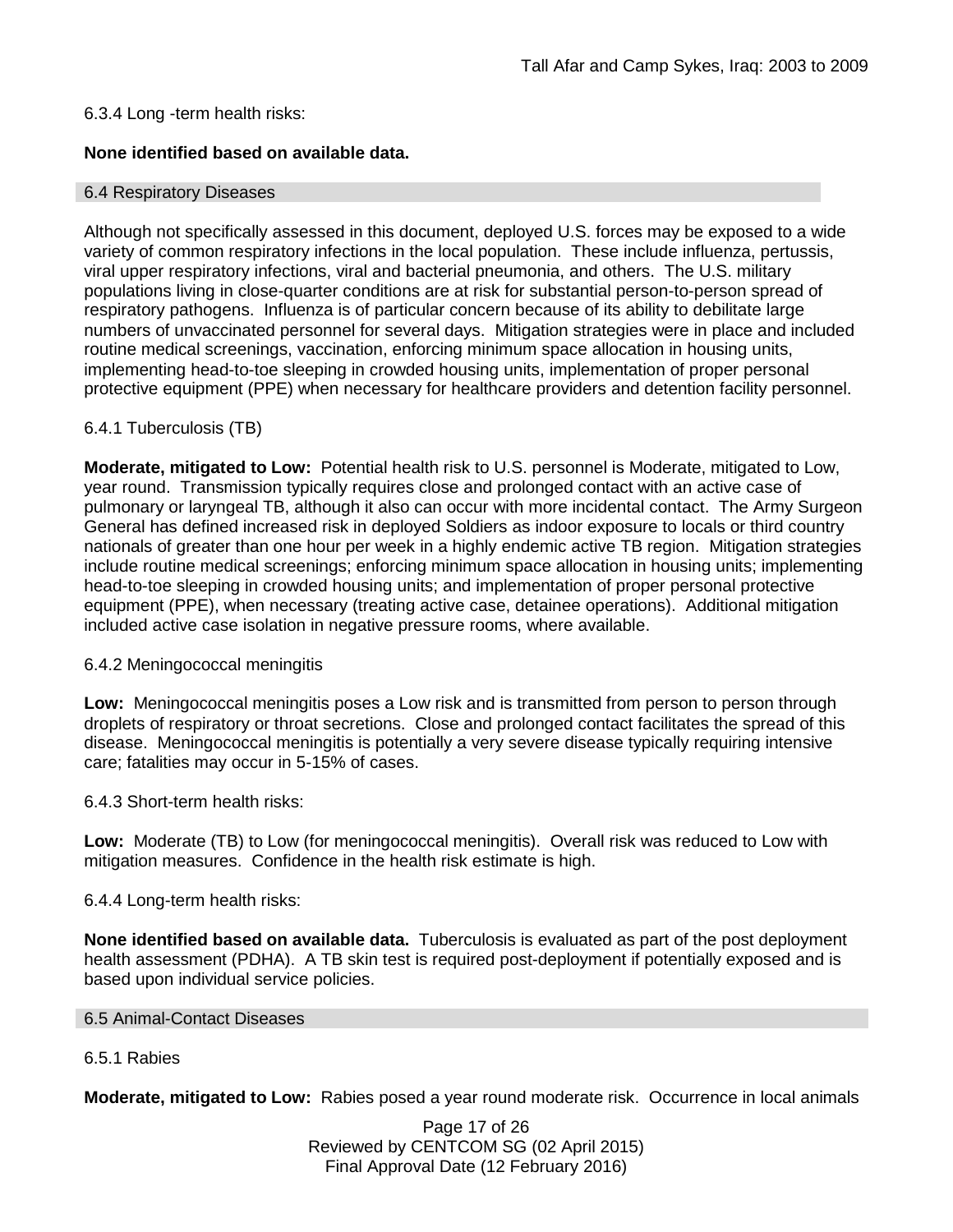## 6.3.4 Long -term health risks:

## **None identified based on available data.**

#### 6.4 Respiratory Diseases

Although not specifically assessed in this document, deployed U.S. forces may be exposed to a wide variety of common respiratory infections in the local population. These include influenza, pertussis, viral upper respiratory infections, viral and bacterial pneumonia, and others. The U.S. military populations living in close-quarter conditions are at risk for substantial person-to-person spread of respiratory pathogens. Influenza is of particular concern because of its ability to debilitate large numbers of unvaccinated personnel for several days. Mitigation strategies were in place and included routine medical screenings, vaccination, enforcing minimum space allocation in housing units, implementing head-to-toe sleeping in crowded housing units, implementation of proper personal protective equipment (PPE) when necessary for healthcare providers and detention facility personnel.

### 6.4.1 Tuberculosis (TB)

**Moderate, mitigated to Low:** Potential health risk to U.S. personnel is Moderate, mitigated to Low, year round. Transmission typically requires close and prolonged contact with an active case of pulmonary or laryngeal TB, although it also can occur with more incidental contact. The Army Surgeon General has defined increased risk in deployed Soldiers as indoor exposure to locals or third country nationals of greater than one hour per week in a highly endemic active TB region. Mitigation strategies include routine medical screenings; enforcing minimum space allocation in housing units; implementing head-to-toe sleeping in crowded housing units; and implementation of proper personal protective equipment (PPE), when necessary (treating active case, detainee operations). Additional mitigation included active case isolation in negative pressure rooms, where available.

#### 6.4.2 Meningococcal meningitis

**Low:** Meningococcal meningitis poses a Low risk and is transmitted from person to person through droplets of respiratory or throat secretions. Close and prolonged contact facilitates the spread of this disease. Meningococcal meningitis is potentially a very severe disease typically requiring intensive care; fatalities may occur in 5-15% of cases.

6.4.3 Short-term health risks:

**Low:** Moderate (TB) to Low (for meningococcal meningitis). Overall risk was reduced to Low with mitigation measures. Confidence in the health risk estimate is high.

#### 6.4.4 Long-term health risks:

**None identified based on available data.** Tuberculosis is evaluated as part of the post deployment health assessment (PDHA). A TB skin test is required post-deployment if potentially exposed and is based upon individual service policies.

#### 6.5 Animal-Contact Diseases

## 6.5.1 Rabies

**Moderate, mitigated to Low:** Rabies posed a year round moderate risk. Occurrence in local animals

Page 17 of 26 Reviewed by CENTCOM SG (02 April 2015) Final Approval Date (12 February 2016)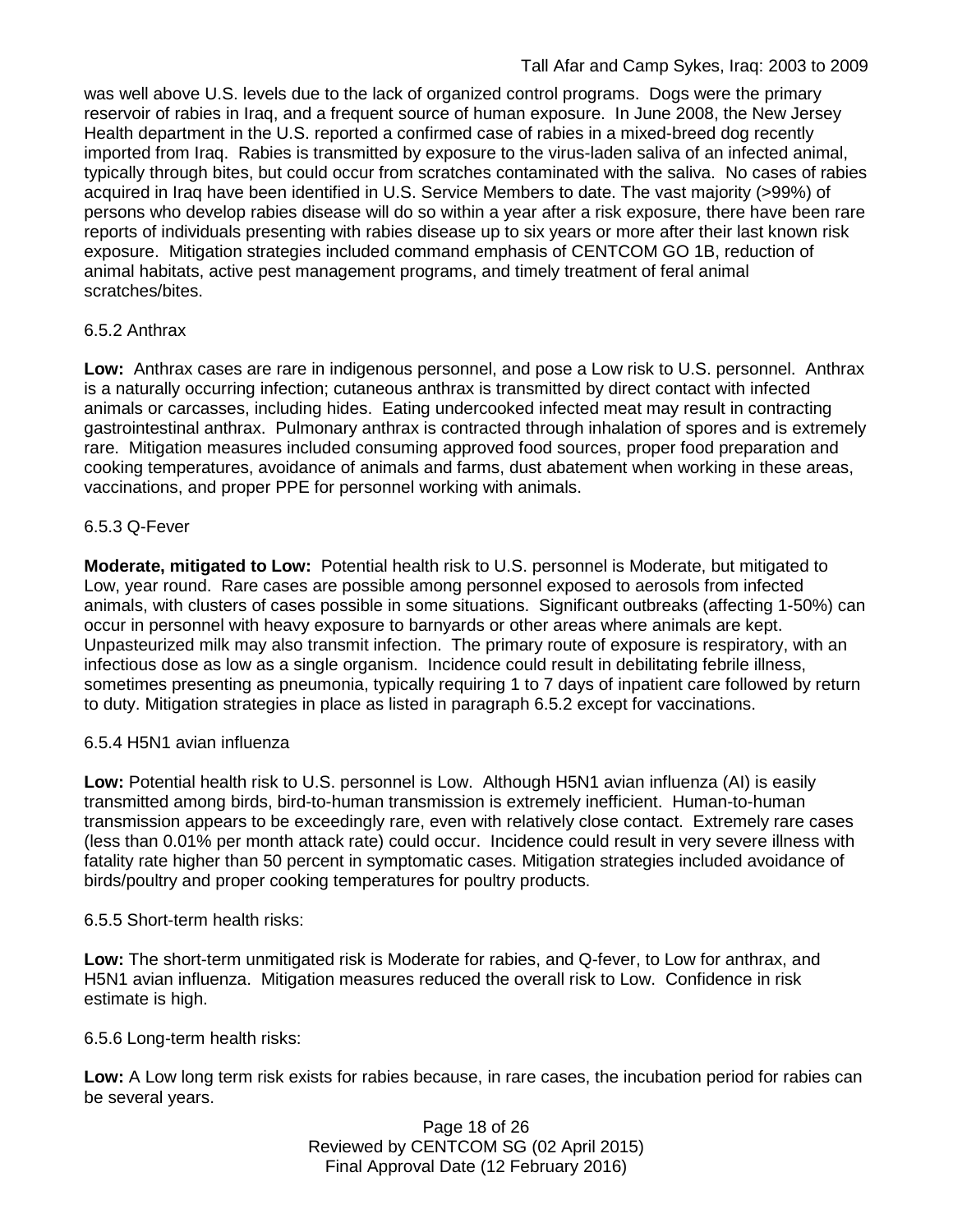was well above U.S. levels due to the lack of organized control programs. Dogs were the primary reservoir of rabies in Iraq, and a frequent source of human exposure. In June 2008, the New Jersey Health department in the U.S. reported a confirmed case of rabies in a mixed-breed dog recently imported from Iraq. Rabies is transmitted by exposure to the virus-laden saliva of an infected animal, typically through bites, but could occur from scratches contaminated with the saliva. No cases of rabies acquired in Iraq have been identified in U.S. Service Members to date. The vast majority (>99%) of persons who develop rabies disease will do so within a year after a risk exposure, there have been rare reports of individuals presenting with rabies disease up to six years or more after their last known risk exposure. Mitigation strategies included command emphasis of CENTCOM GO 1B, reduction of animal habitats, active pest management programs, and timely treatment of feral animal scratches/bites.

## 6.5.2 Anthrax

**Low:** Anthrax cases are rare in indigenous personnel, and pose a Low risk to U.S. personnel. Anthrax is a naturally occurring infection; cutaneous anthrax is transmitted by direct contact with infected animals or carcasses, including hides. Eating undercooked infected meat may result in contracting gastrointestinal anthrax. Pulmonary anthrax is contracted through inhalation of spores and is extremely rare. Mitigation measures included consuming approved food sources, proper food preparation and cooking temperatures, avoidance of animals and farms, dust abatement when working in these areas, vaccinations, and proper PPE for personnel working with animals.

## 6.5.3 Q-Fever

**Moderate, mitigated to Low:** Potential health risk to U.S. personnel is Moderate, but mitigated to Low, year round. Rare cases are possible among personnel exposed to aerosols from infected animals, with clusters of cases possible in some situations. Significant outbreaks (affecting 1-50%) can occur in personnel with heavy exposure to barnyards or other areas where animals are kept. Unpasteurized milk may also transmit infection. The primary route of exposure is respiratory, with an infectious dose as low as a single organism. Incidence could result in debilitating febrile illness, sometimes presenting as pneumonia, typically requiring 1 to 7 days of inpatient care followed by return to duty. Mitigation strategies in place as listed in paragraph 6.5.2 except for vaccinations.

## 6.5.4 H5N1 avian influenza

**Low:** Potential health risk to U.S. personnel is Low. Although H5N1 avian influenza (AI) is easily transmitted among birds, bird-to-human transmission is extremely inefficient. Human-to-human transmission appears to be exceedingly rare, even with relatively close contact. Extremely rare cases (less than 0.01% per month attack rate) could occur. Incidence could result in very severe illness with fatality rate higher than 50 percent in symptomatic cases. Mitigation strategies included avoidance of birds/poultry and proper cooking temperatures for poultry products.

## 6.5.5 Short-term health risks:

**Low:** The short-term unmitigated risk is Moderate for rabies, and Q-fever, to Low for anthrax, and H5N1 avian influenza. Mitigation measures reduced the overall risk to Low.Confidence in risk estimate is high.

6.5.6 Long-term health risks:

**Low:** A Low long term risk exists for rabies because, in rare cases, the incubation period for rabies can be several years.

> Page 18 of 26 Reviewed by CENTCOM SG (02 April 2015) Final Approval Date (12 February 2016)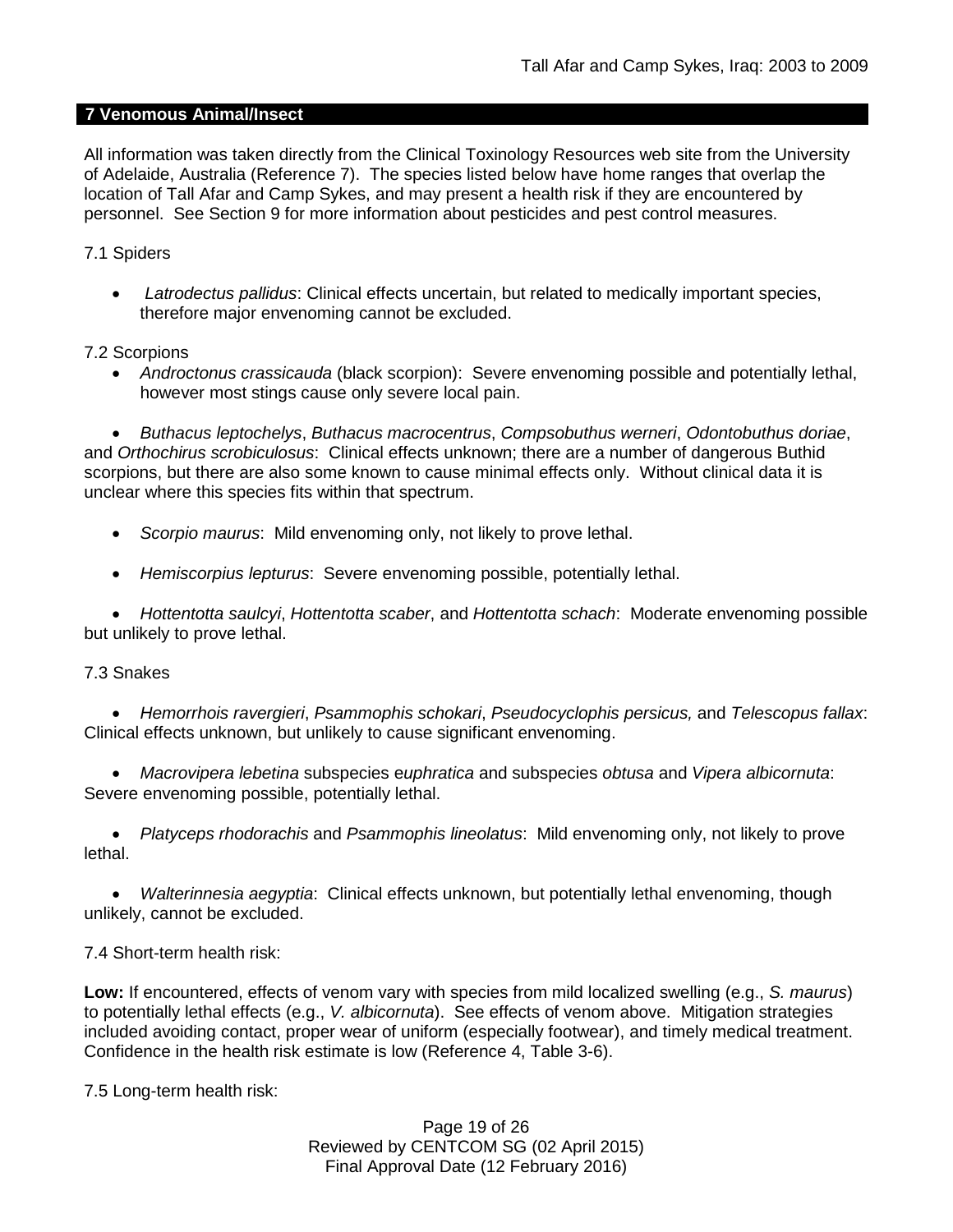## **7 Venomous Animal/Insect**

All information was taken directly from the Clinical Toxinology Resources web site from the University of Adelaide, Australia (Reference 7). The species listed below have home ranges that overlap the location of Tall Afar and Camp Sykes, and may present a health risk if they are encountered by personnel. See Section 9 for more information about pesticides and pest control measures.

## 7.1 Spiders

• *Latrodectus pallidus*: Clinical effects uncertain, but related to medically important species, therefore major envenoming cannot be excluded.

### 7.2 Scorpions

• *Androctonus crassicauda* (black scorpion): Severe envenoming possible and potentially lethal, however most stings cause only severe local pain.

• *Buthacus leptochelys*, *Buthacus macrocentrus*, *Compsobuthus werneri*, *Odontobuthus doriae*, and *Orthochirus scrobiculosus*: Clinical effects unknown; there are a number of dangerous Buthid scorpions, but there are also some known to cause minimal effects only. Without clinical data it is unclear where this species fits within that spectrum.

- *Scorpio maurus*: Mild envenoming only, not likely to prove lethal.
- *Hemiscorpius lepturus*: Severe envenoming possible, potentially lethal.

• *Hottentotta saulcyi*, *Hottentotta scaber*, and *Hottentotta schach*: Moderate envenoming possible but unlikely to prove lethal.

#### 7.3 Snakes

• *Hemorrhois ravergieri*, *Psammophis schokari*, *Pseudocyclophis persicus,* and *Telescopus fallax*: Clinical effects unknown, but unlikely to cause significant envenoming.

• *Macrovipera lebetina* subspecies e*uphratica* and subspecies *obtusa* and *Vipera albicornuta*: Severe envenoming possible, potentially lethal.

• *Platyceps rhodorachis* and *Psammophis lineolatus*: Mild envenoming only, not likely to prove lethal.

• *Walterinnesia aegyptia*: Clinical effects unknown, but potentially lethal envenoming, though unlikely, cannot be excluded.

## 7.4 Short-term health risk:

**Low:** If encountered, effects of venom vary with species from mild localized swelling (e.g., *S. maurus*) to potentially lethal effects (e.g., *V. albicornuta*). See effects of venom above. Mitigation strategies included avoiding contact, proper wear of uniform (especially footwear), and timely medical treatment. Confidence in the health risk estimate is low (Reference 4, Table 3-6).

7.5 Long-term health risk:

Page 19 of 26 Reviewed by CENTCOM SG (02 April 2015) Final Approval Date (12 February 2016)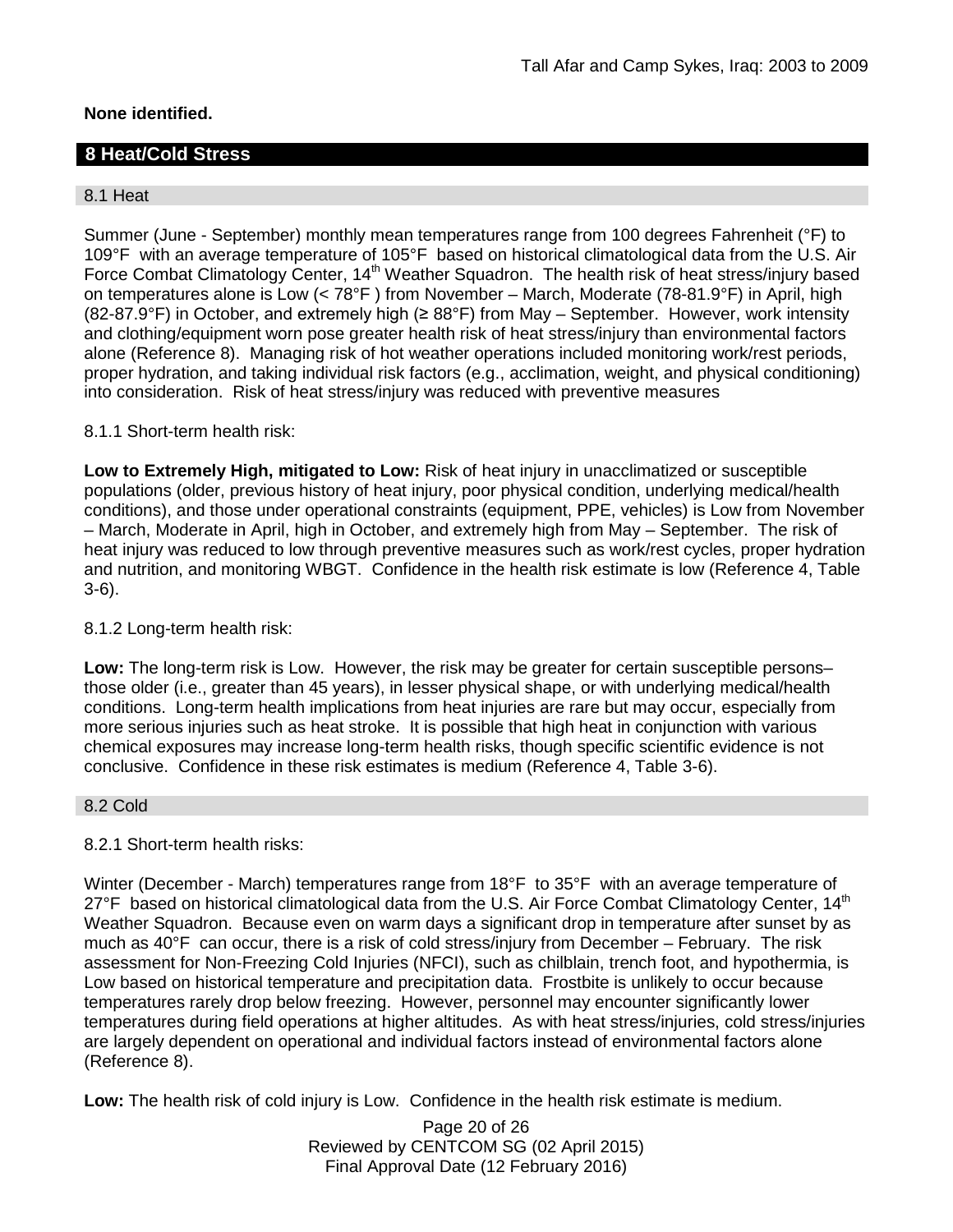## **None identified.**

# **8 Heat/Cold Stress**

## 8.1 Heat

Summer (June - September) monthly mean temperatures range from 100 degrees Fahrenheit (°F) to 109°F with an average temperature of 105°F based on historical climatological data from the U.S. Air Force Combat Climatology Center, 14<sup>th</sup> Weather Squadron. The health risk of heat stress/injury based on temperatures alone is Low (< 78°F ) from November – March, Moderate (78-81.9°F) in April, high (82-87.9°F) in October, and extremely high (≥ 88°F) from May – September. However, work intensity and clothing/equipment worn pose greater health risk of heat stress/injury than environmental factors alone (Reference 8). Managing risk of hot weather operations included monitoring work/rest periods, proper hydration, and taking individual risk factors (e.g., acclimation, weight, and physical conditioning) into consideration. Risk of heat stress/injury was reduced with preventive measures

## 8.1.1 Short-term health risk:

**Low to Extremely High, mitigated to Low:** Risk of heat injury in unacclimatized or susceptible populations (older, previous history of heat injury, poor physical condition, underlying medical/health conditions), and those under operational constraints (equipment, PPE, vehicles) is Low from November – March, Moderate in April, high in October, and extremely high from May – September. The risk of heat injury was reduced to low through preventive measures such as work/rest cycles, proper hydration and nutrition, and monitoring WBGT. Confidence in the health risk estimate is low (Reference 4, Table 3-6).

#### 8.1.2 Long-term health risk:

**Low:** The long-term risk is Low. However, the risk may be greater for certain susceptible persons– those older (i.e., greater than 45 years), in lesser physical shape, or with underlying medical/health conditions. Long-term health implications from heat injuries are rare but may occur, especially from more serious injuries such as heat stroke. It is possible that high heat in conjunction with various chemical exposures may increase long-term health risks, though specific scientific evidence is not conclusive. Confidence in these risk estimates is medium (Reference 4, Table 3-6).

#### 8.2 Cold

## 8.2.1 Short-term health risks:

Winter (December - March) temperatures range from 18°F to 35°F with an average temperature of 27°F based on historical climatological data from the U.S. Air Force Combat Climatology Center, 14<sup>th</sup> Weather Squadron. Because even on warm days a significant drop in temperature after sunset by as much as 40°F can occur, there is a risk of cold stress/injury from December – February. The risk assessment for Non-Freezing Cold Injuries (NFCI), such as chilblain, trench foot, and hypothermia, is Low based on historical temperature and precipitation data. Frostbite is unlikely to occur because temperatures rarely drop below freezing. However, personnel may encounter significantly lower temperatures during field operations at higher altitudes. As with heat stress/injuries, cold stress/injuries are largely dependent on operational and individual factors instead of environmental factors alone (Reference 8).

**Low:** The health risk of cold injury is Low. Confidence in the health risk estimate is medium.

Page 20 of 26 Reviewed by CENTCOM SG (02 April 2015) Final Approval Date (12 February 2016)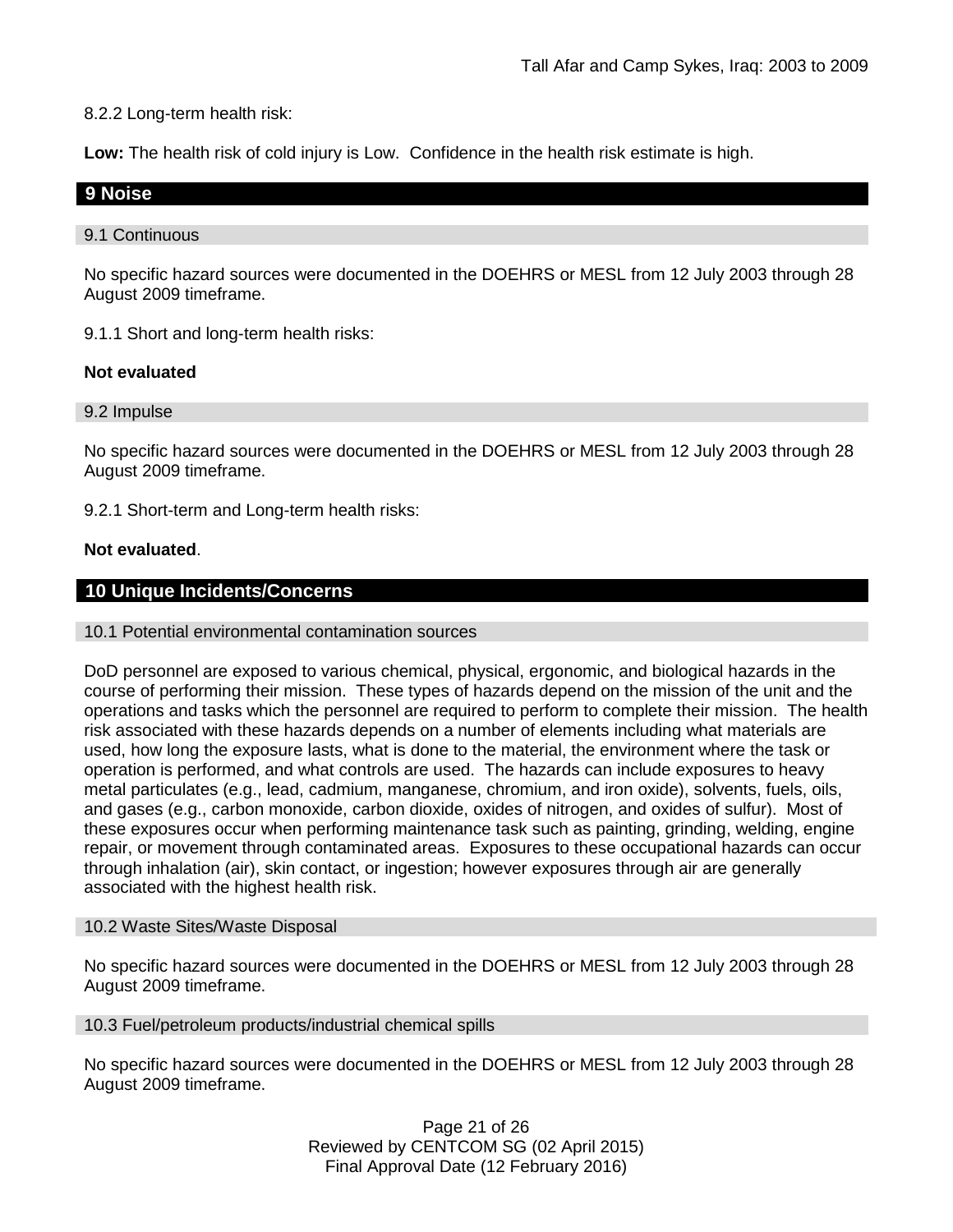8.2.2 Long-term health risk:

**Low:** The health risk of cold injury is Low. Confidence in the health risk estimate is high.

## **9 Noise**

#### 9.1 Continuous

No specific hazard sources were documented in the DOEHRS or MESL from 12 July 2003 through 28 August 2009 timeframe.

9.1.1 Short and long-term health risks:

### **Not evaluated**

#### 9.2 Impulse

No specific hazard sources were documented in the DOEHRS or MESL from 12 July 2003 through 28 August 2009 timeframe.

9.2.1 Short-term and Long-term health risks:

### **Not evaluated**.

## **10 Unique Incidents/Concerns**

#### 10.1 Potential environmental contamination sources

DoD personnel are exposed to various chemical, physical, ergonomic, and biological hazards in the course of performing their mission. These types of hazards depend on the mission of the unit and the operations and tasks which the personnel are required to perform to complete their mission. The health risk associated with these hazards depends on a number of elements including what materials are used, how long the exposure lasts, what is done to the material, the environment where the task or operation is performed, and what controls are used. The hazards can include exposures to heavy metal particulates (e.g., lead, cadmium, manganese, chromium, and iron oxide), solvents, fuels, oils, and gases (e.g., carbon monoxide, carbon dioxide, oxides of nitrogen, and oxides of sulfur). Most of these exposures occur when performing maintenance task such as painting, grinding, welding, engine repair, or movement through contaminated areas. Exposures to these occupational hazards can occur through inhalation (air), skin contact, or ingestion; however exposures through air are generally associated with the highest health risk.

#### 10.2 Waste Sites/Waste Disposal

No specific hazard sources were documented in the DOEHRS or MESL from 12 July 2003 through 28 August 2009 timeframe.

#### 10.3 Fuel/petroleum products/industrial chemical spills

No specific hazard sources were documented in the DOEHRS or MESL from 12 July 2003 through 28 August 2009 timeframe.

> Page 21 of 26 Reviewed by CENTCOM SG (02 April 2015) Final Approval Date (12 February 2016)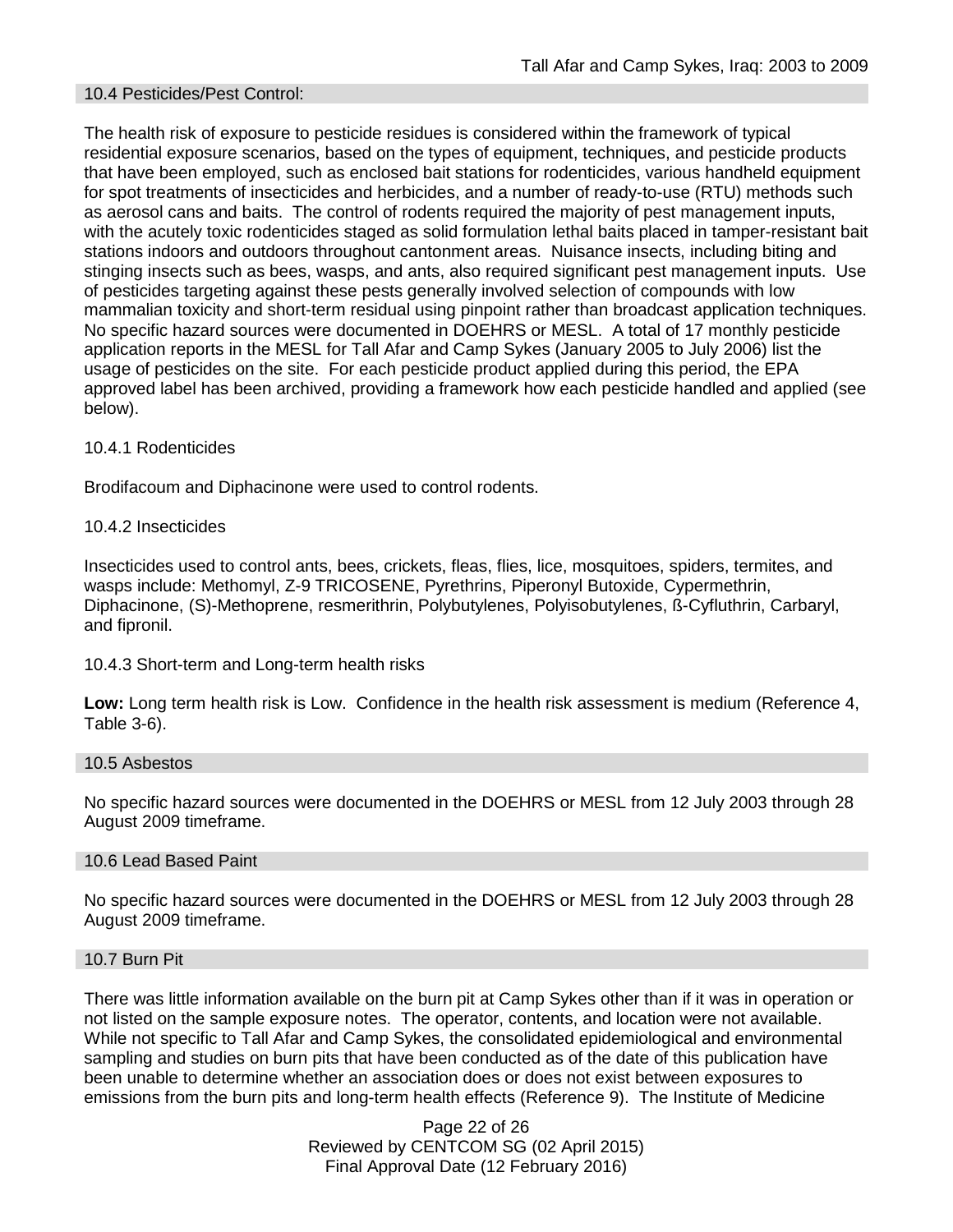### 10.4 Pesticides/Pest Control:

The health risk of exposure to pesticide residues is considered within the framework of typical residential exposure scenarios, based on the types of equipment, techniques, and pesticide products that have been employed, such as enclosed bait stations for rodenticides, various handheld equipment for spot treatments of insecticides and herbicides, and a number of ready-to-use (RTU) methods such as aerosol cans and baits. The control of rodents required the majority of pest management inputs, with the acutely toxic rodenticides staged as solid formulation lethal baits placed in tamper-resistant bait stations indoors and outdoors throughout cantonment areas. Nuisance insects, including biting and stinging insects such as bees, wasps, and ants, also required significant pest management inputs. Use of pesticides targeting against these pests generally involved selection of compounds with low mammalian toxicity and short-term residual using pinpoint rather than broadcast application techniques. No specific hazard sources were documented in DOEHRS or MESL. A total of 17 monthly pesticide application reports in the MESL for Tall Afar and Camp Sykes (January 2005 to July 2006) list the usage of pesticides on the site. For each pesticide product applied during this period, the EPA approved label has been archived, providing a framework how each pesticide handled and applied (see below).

#### 10.4.1 Rodenticides

Brodifacoum and Diphacinone were used to control rodents.

### 10.4.2 Insecticides

Insecticides used to control ants, bees, crickets, fleas, flies, lice, mosquitoes, spiders, termites, and wasps include: Methomyl, Z-9 TRICOSENE, Pyrethrins, Piperonyl Butoxide, Cypermethrin, Diphacinone, (S)-Methoprene, resmerithrin, Polybutylenes, Polyisobutylenes, ß-Cyfluthrin, Carbaryl, and fipronil.

#### 10.4.3 Short-term and Long-term health risks

**Low:** Long term health risk is Low. Confidence in the health risk assessment is medium (Reference 4, Table 3-6).

#### 10.5 Asbestos

No specific hazard sources were documented in the DOEHRS or MESL from 12 July 2003 through 28 August 2009 timeframe.

#### 10.6 Lead Based Paint

No specific hazard sources were documented in the DOEHRS or MESL from 12 July 2003 through 28 August 2009 timeframe.

#### 10.7 Burn Pit

There was little information available on the burn pit at Camp Sykes other than if it was in operation or not listed on the sample exposure notes. The operator, contents, and location were not available. While not specific to Tall Afar and Camp Sykes, the consolidated epidemiological and environmental sampling and studies on burn pits that have been conducted as of the date of this publication have been unable to determine whether an association does or does not exist between exposures to emissions from the burn pits and long-term health effects (Reference 9). The Institute of Medicine

> Page 22 of 26 Reviewed by CENTCOM SG (02 April 2015) Final Approval Date (12 February 2016)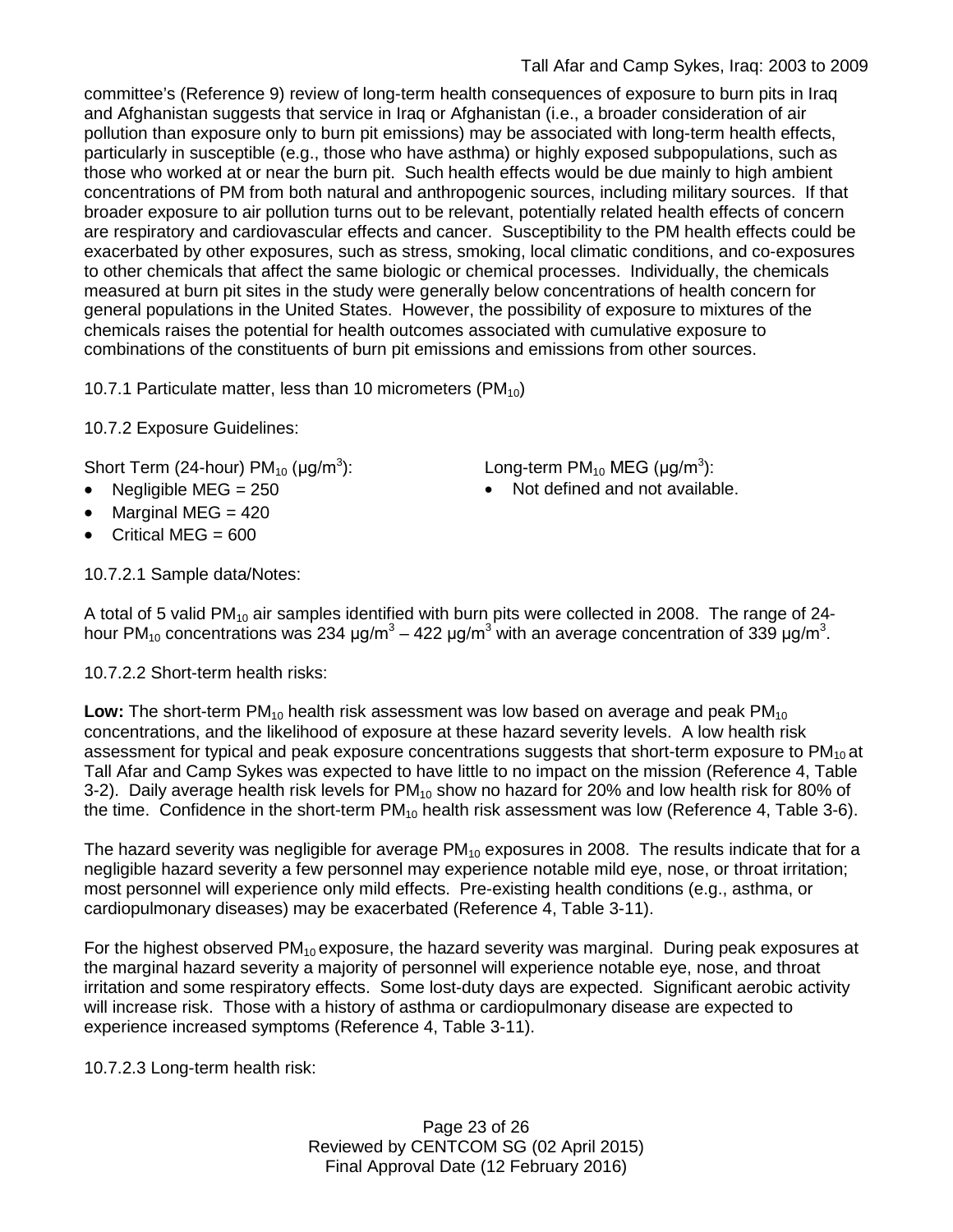committee's (Reference 9) review of long-term health consequences of exposure to burn pits in Iraq and Afghanistan suggests that service in Iraq or Afghanistan (i.e., a broader consideration of air pollution than exposure only to burn pit emissions) may be associated with long-term health effects, particularly in susceptible (e.g., those who have asthma) or highly exposed subpopulations, such as those who worked at or near the burn pit. Such health effects would be due mainly to high ambient concentrations of PM from both natural and anthropogenic sources, including military sources. If that broader exposure to air pollution turns out to be relevant, potentially related health effects of concern are respiratory and cardiovascular effects and cancer. Susceptibility to the PM health effects could be exacerbated by other exposures, such as stress, smoking, local climatic conditions, and co-exposures to other chemicals that affect the same biologic or chemical processes. Individually, the chemicals measured at burn pit sites in the study were generally below concentrations of health concern for general populations in the United States. However, the possibility of exposure to mixtures of the chemicals raises the potential for health outcomes associated with cumulative exposure to combinations of the constituents of burn pit emissions and emissions from other sources.

10.7.1 Particulate matter, less than 10 micrometers (PM $_{10}$ )

10.7.2 Exposure Guidelines:

Short Term (24-hour) PM<sub>10</sub> (μg/m<sup>3</sup>):  $\hspace{2cm}$  Long-term PM<sub>10</sub> MEG (μg/m<sup>3</sup>):

- 
- Marginal MEG = 420
- Critical MEG  $= 600$

10.7.2.1 Sample data/Notes:

• Negligible MEG = 250 **•** Not defined and not available.

A total of 5 valid PM<sub>10</sub> air samples identified with burn pits were collected in 2008. The range of 24hour PM<sub>10</sub> concentrations was 234 μg/m<sup>3</sup> – 422 μg/m<sup>3</sup> with an average concentration of 339 μg/m<sup>3</sup>.

10.7.2.2 Short-term health risks:

**Low:** The short-term PM<sub>10</sub> health risk assessment was low based on average and peak PM<sub>10</sub> concentrations, and the likelihood of exposure at these hazard severity levels. A low health risk assessment for typical and peak exposure concentrations suggests that short-term exposure to  $PM_{10}$  at Tall Afar and Camp Sykes was expected to have little to no impact on the mission (Reference 4, Table 3-2). Daily average health risk levels for  $PM_{10}$  show no hazard for 20% and low health risk for 80% of the time. Confidence in the short-term  $PM_{10}$  health risk assessment was low (Reference 4, Table 3-6).

The hazard severity was negligible for average  $PM_{10}$  exposures in 2008. The results indicate that for a negligible hazard severity a few personnel may experience notable mild eye, nose, or throat irritation; most personnel will experience only mild effects. Pre-existing health conditions (e.g., asthma, or cardiopulmonary diseases) may be exacerbated (Reference 4, Table 3-11).

For the highest observed  $PM_{10}$  exposure, the hazard severity was marginal. During peak exposures at the marginal hazard severity a majority of personnel will experience notable eye, nose, and throat irritation and some respiratory effects. Some lost-duty days are expected. Significant aerobic activity will increase risk. Those with a history of asthma or cardiopulmonary disease are expected to experience increased symptoms (Reference 4, Table 3-11).

10.7.2.3 Long-term health risk:

Page 23 of 26 Reviewed by CENTCOM SG (02 April 2015) Final Approval Date (12 February 2016)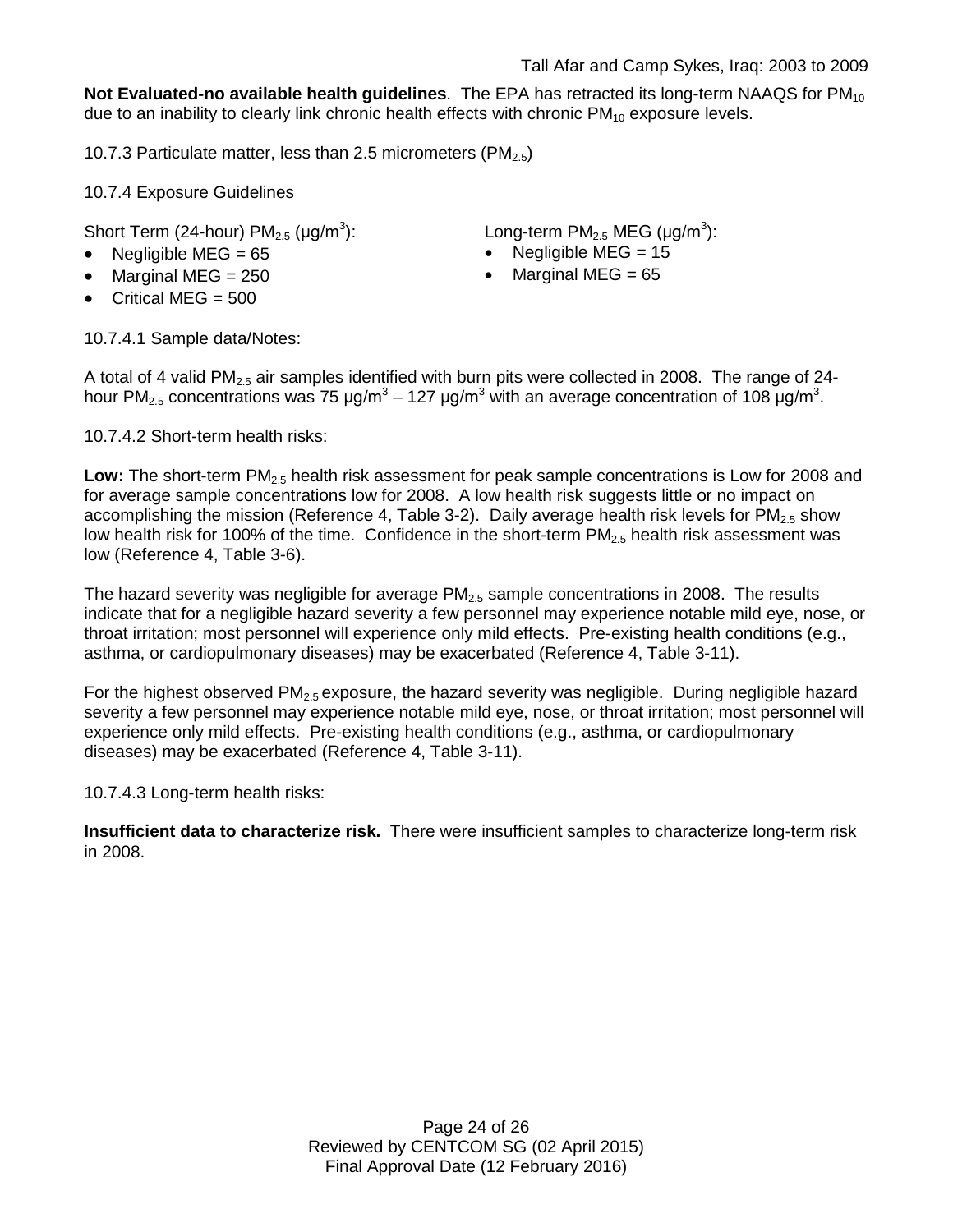**Not Evaluated-no available health quidelines**. The EPA has retracted its long-term NAAQS for PM<sub>10</sub> due to an inability to clearly link chronic health effects with chronic  $PM_{10}$  exposure levels.

10.7.3 Particulate matter, less than 2.5 micrometers (PM $_{2.5}$ )

10.7.4 Exposure Guidelines

Short Term (24-hour)  $PM_{2.5}$  ( $\mu$ g/m<sup>3</sup>):

- 
- Marginal MEG = 250 Marginal MEG = 65
- Critical MEG  $= 500$

): Long-term PM<sub>2.5</sub> MEG (µg/m<sup>3</sup>):

- Negligible MEG = 65 Negligible MEG = 15
	-

10.7.4.1 Sample data/Notes:

A total of 4 valid  $PM_{2.5}$  air samples identified with burn pits were collected in 2008. The range of 24hour PM<sub>2.5</sub> concentrations was 75 μg/m<sup>3</sup> – 127 μg/m<sup>3</sup> with an average concentration of 108 μg/m<sup>3</sup>.

10.7.4.2 Short-term health risks:

Low: The short-term PM<sub>2.5</sub> health risk assessment for peak sample concentrations is Low for 2008 and for average sample concentrations low for 2008. A low health risk suggests little or no impact on accomplishing the mission (Reference 4, Table 3-2). Daily average health risk levels for  $PM<sub>2.5</sub>$  show low health risk for 100% of the time. Confidence in the short-term  $PM<sub>2.5</sub>$  health risk assessment was low (Reference 4, Table 3-6).

The hazard severity was negligible for average  $PM_{2.5}$  sample concentrations in 2008. The results indicate that for a negligible hazard severity a few personnel may experience notable mild eye, nose, or throat irritation; most personnel will experience only mild effects. Pre-existing health conditions (e.g., asthma, or cardiopulmonary diseases) may be exacerbated (Reference 4, Table 3-11).

For the highest observed  $PM<sub>2.5</sub>$  exposure, the hazard severity was negligible. During negligible hazard severity a few personnel may experience notable mild eye, nose, or throat irritation; most personnel will experience only mild effects. Pre-existing health conditions (e.g., asthma, or cardiopulmonary diseases) may be exacerbated (Reference 4, Table 3-11).

10.7.4.3 Long-term health risks:

**Insufficient data to characterize risk.** There were insufficient samples to characterize long-term risk in 2008.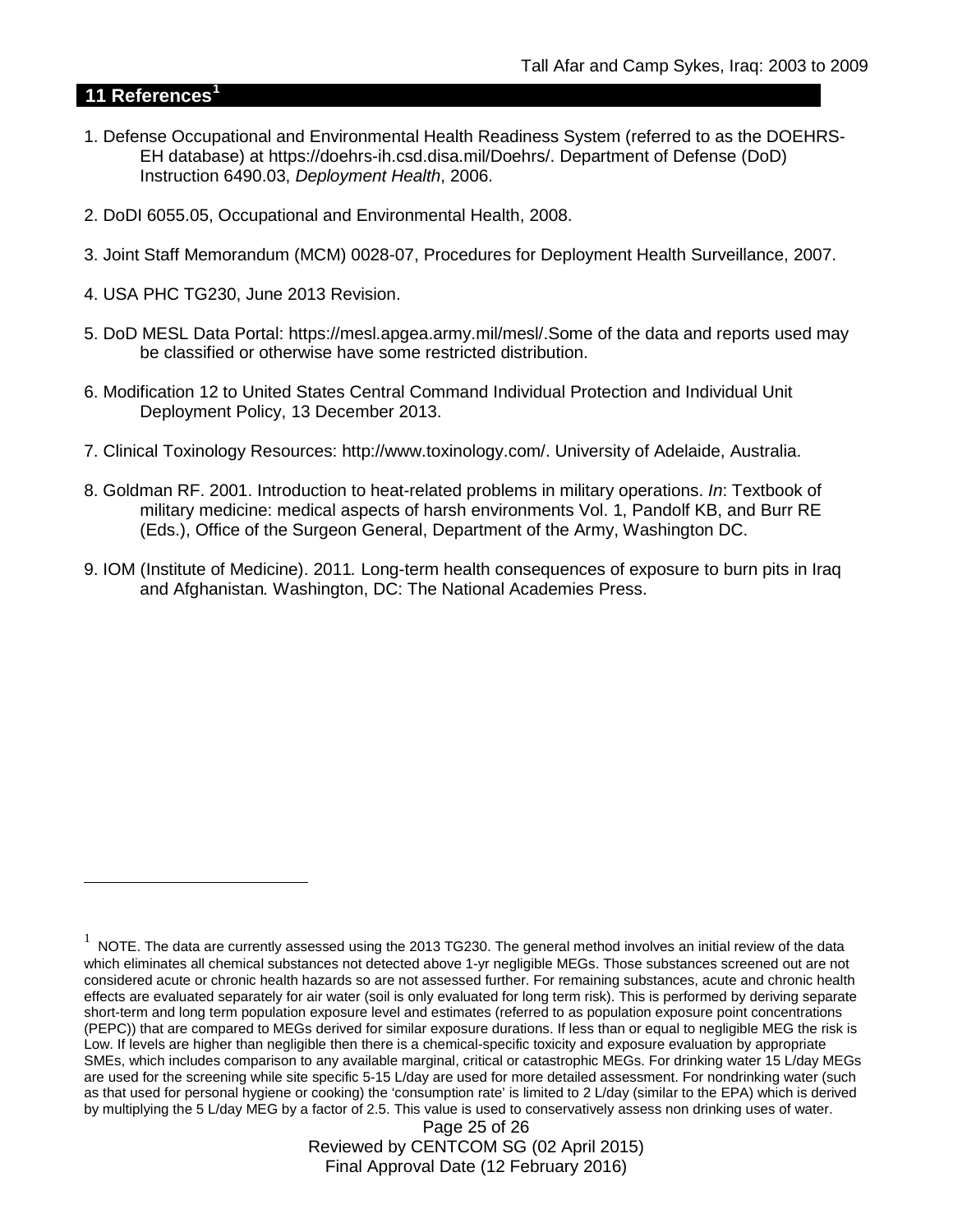## **11 References[1](#page-24-0)**

 $\overline{a}$ 

- 1. Defense Occupational and Environmental Health Readiness System (referred to as the DOEHRS-EH database) at https://doehrs-ih.csd.disa.mil/Doehrs/. Department of Defense (DoD) Instruction 6490.03, *Deployment Health*, 2006.
- 2. DoDI 6055.05, Occupational and Environmental Health, 2008.
- 3. Joint Staff Memorandum (MCM) 0028-07, Procedures for Deployment Health Surveillance, 2007.
- 4. USA PHC TG230, June 2013 Revision.
- 5. DoD MESL Data Portal: https://mesl.apgea.army.mil/mesl/.Some of the data and reports used may be classified or otherwise have some restricted distribution.
- 6. Modification 12 to United States Central Command Individual Protection and Individual Unit Deployment Policy, 13 December 2013.
- 7. Clinical Toxinology Resources: http://www.toxinology.com/. University of Adelaide, Australia.
- 8. Goldman RF. 2001. Introduction to heat-related problems in military operations. *In*: Textbook of military medicine: medical aspects of harsh environments Vol. 1, Pandolf KB, and Burr RE (Eds.), Office of the Surgeon General, Department of the Army, Washington DC.
- 9. IOM (Institute of Medicine). 2011*.* Long-term health consequences of exposure to burn pits in Iraq and Afghanistan*.* Washington, DC: The National Academies Press.

Page 25 of 26 Reviewed by CENTCOM SG (02 April 2015) Final Approval Date (12 February 2016)

<span id="page-24-0"></span> $1$  NOTE. The data are currently assessed using the 2013 TG230. The general method involves an initial review of the data which eliminates all chemical substances not detected above 1-yr negligible MEGs. Those substances screened out are not considered acute or chronic health hazards so are not assessed further. For remaining substances, acute and chronic health effects are evaluated separately for air water (soil is only evaluated for long term risk). This is performed by deriving separate short-term and long term population exposure level and estimates (referred to as population exposure point concentrations (PEPC)) that are compared to MEGs derived for similar exposure durations. If less than or equal to negligible MEG the risk is Low. If levels are higher than negligible then there is a chemical-specific toxicity and exposure evaluation by appropriate SMEs, which includes comparison to any available marginal, critical or catastrophic MEGs. For drinking water 15 L/day MEGs are used for the screening while site specific 5-15 L/day are used for more detailed assessment. For nondrinking water (such as that used for personal hygiene or cooking) the 'consumption rate' is limited to 2 L/day (similar to the EPA) which is derived by multiplying the 5 L/day MEG by a factor of 2.5. This value is used to conservatively assess non drinking uses of water.